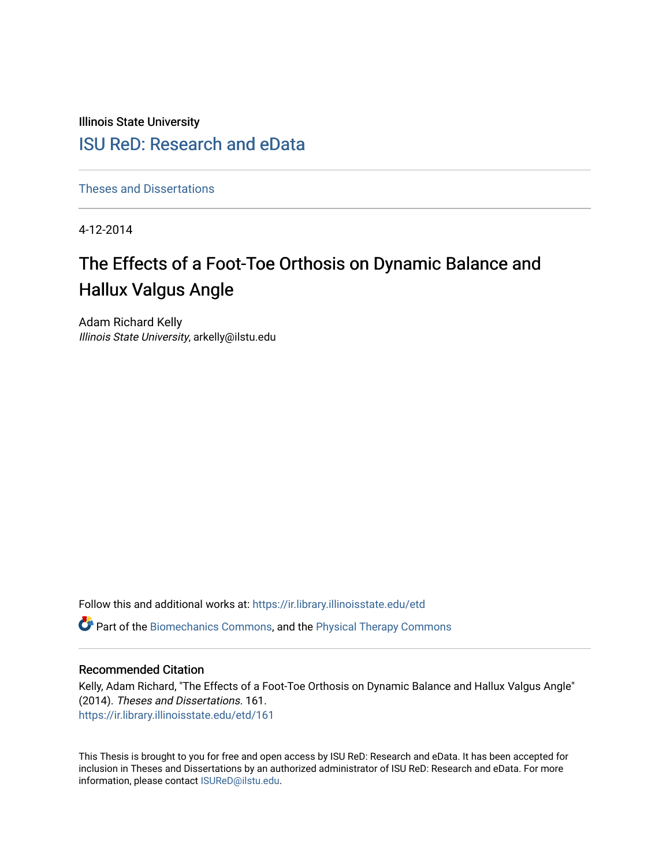Illinois State University

# [ISU ReD: Research and eData](https://ir.library.illinoisstate.edu/)

[Theses and Dissertations](https://ir.library.illinoisstate.edu/etd)

4-12-2014

# The Effects of a Foot-Toe Orthosis on Dynamic Balance and Hallux Valgus Angle

Adam Richard Kelly Illinois State University, arkelly@ilstu.edu

Follow this and additional works at: [https://ir.library.illinoisstate.edu/etd](https://ir.library.illinoisstate.edu/etd?utm_source=ir.library.illinoisstate.edu%2Fetd%2F161&utm_medium=PDF&utm_campaign=PDFCoverPages) 

Part of the [Biomechanics Commons,](http://network.bepress.com/hgg/discipline/43?utm_source=ir.library.illinoisstate.edu%2Fetd%2F161&utm_medium=PDF&utm_campaign=PDFCoverPages) and the [Physical Therapy Commons](http://network.bepress.com/hgg/discipline/754?utm_source=ir.library.illinoisstate.edu%2Fetd%2F161&utm_medium=PDF&utm_campaign=PDFCoverPages) 

#### Recommended Citation

Kelly, Adam Richard, "The Effects of a Foot-Toe Orthosis on Dynamic Balance and Hallux Valgus Angle" (2014). Theses and Dissertations. 161. [https://ir.library.illinoisstate.edu/etd/161](https://ir.library.illinoisstate.edu/etd/161?utm_source=ir.library.illinoisstate.edu%2Fetd%2F161&utm_medium=PDF&utm_campaign=PDFCoverPages) 

This Thesis is brought to you for free and open access by ISU ReD: Research and eData. It has been accepted for inclusion in Theses and Dissertations by an authorized administrator of ISU ReD: Research and eData. For more information, please contact [ISUReD@ilstu.edu.](mailto:ISUReD@ilstu.edu)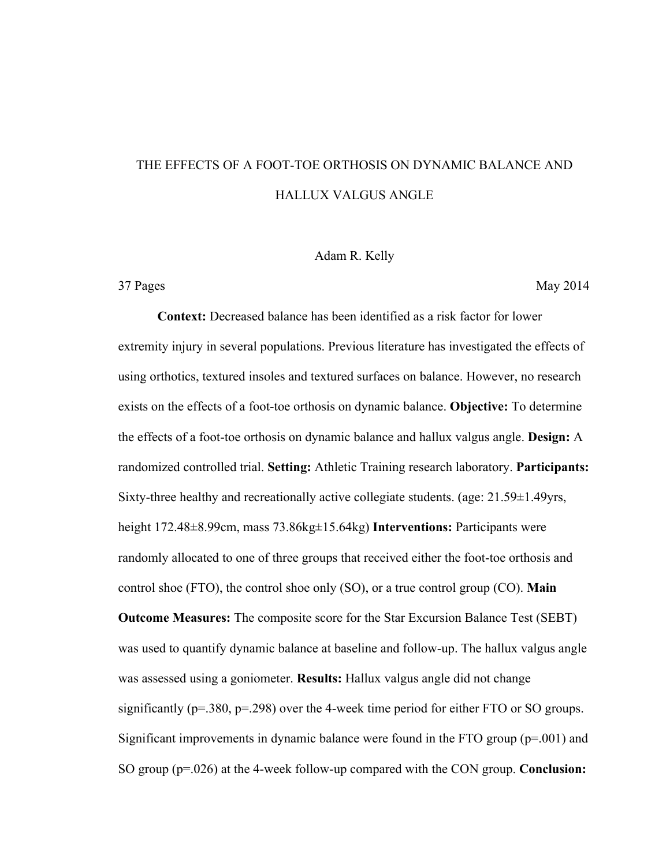# THE EFFECTS OF A FOOT-TOE ORTHOSIS ON DYNAMIC BALANCE AND HALLUX VALGUS ANGLE

#### Adam R. Kelly

37 Pages May 2014

**Context:** Decreased balance has been identified as a risk factor for lower extremity injury in several populations. Previous literature has investigated the effects of using orthotics, textured insoles and textured surfaces on balance. However, no research exists on the effects of a foot-toe orthosis on dynamic balance. **Objective:** To determine the effects of a foot-toe orthosis on dynamic balance and hallux valgus angle. **Design:** A randomized controlled trial. **Setting:** Athletic Training research laboratory. **Participants:** Sixty-three healthy and recreationally active collegiate students. (age: 21.59±1.49yrs, height 172.48±8.99cm, mass 73.86kg±15.64kg) **Interventions:** Participants were randomly allocated to one of three groups that received either the foot-toe orthosis and control shoe (FTO), the control shoe only (SO), or a true control group (CO). **Main Outcome Measures:** The composite score for the Star Excursion Balance Test (SEBT) was used to quantify dynamic balance at baseline and follow-up. The hallux valgus angle was assessed using a goniometer. **Results:** Hallux valgus angle did not change significantly ( $p=380$ ,  $p=298$ ) over the 4-week time period for either FTO or SO groups. Significant improvements in dynamic balance were found in the FTO group (p=.001) and SO group (p=.026) at the 4-week follow-up compared with the CON group. **Conclusion:**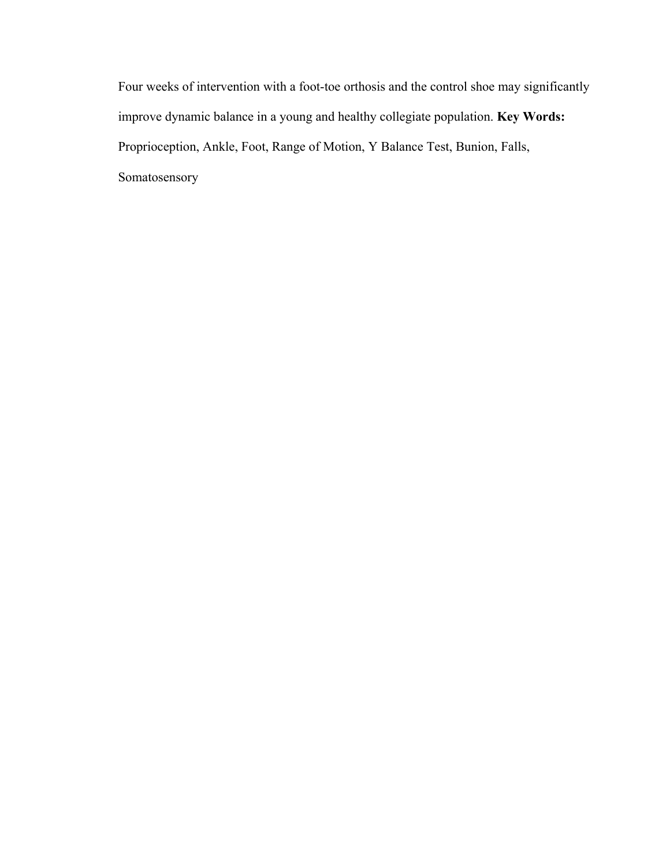Four weeks of intervention with a foot-toe orthosis and the control shoe may significantly improve dynamic balance in a young and healthy collegiate population. **Key Words:** Proprioception, Ankle, Foot, Range of Motion, Y Balance Test, Bunion, Falls, Somatosensory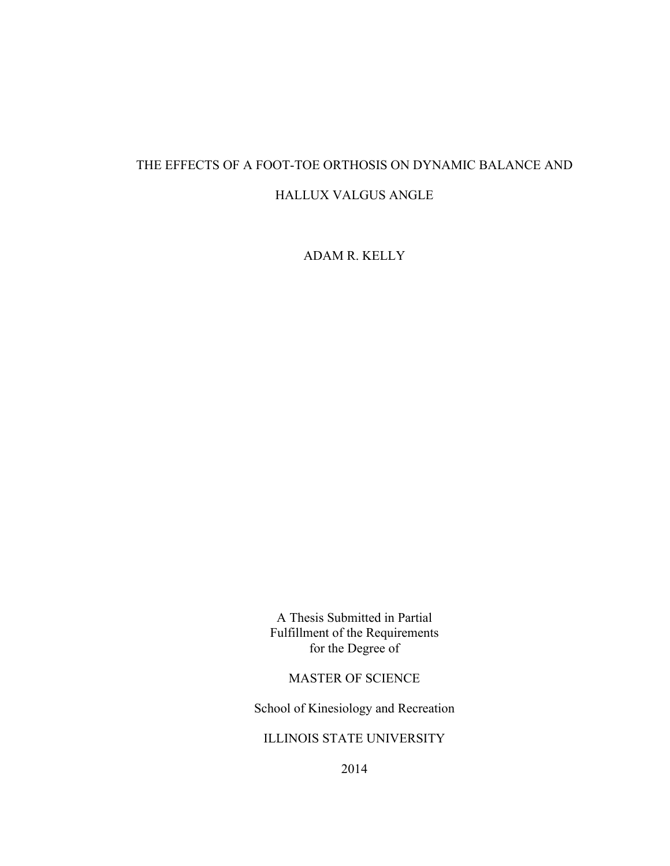# THE EFFECTS OF A FOOT-TOE ORTHOSIS ON DYNAMIC BALANCE AND HALLUX VALGUS ANGLE

ADAM R. KELLY

A Thesis Submitted in Partial Fulfillment of the Requirements for the Degree of

MASTER OF SCIENCE

School of Kinesiology and Recreation

ILLINOIS STATE UNIVERSITY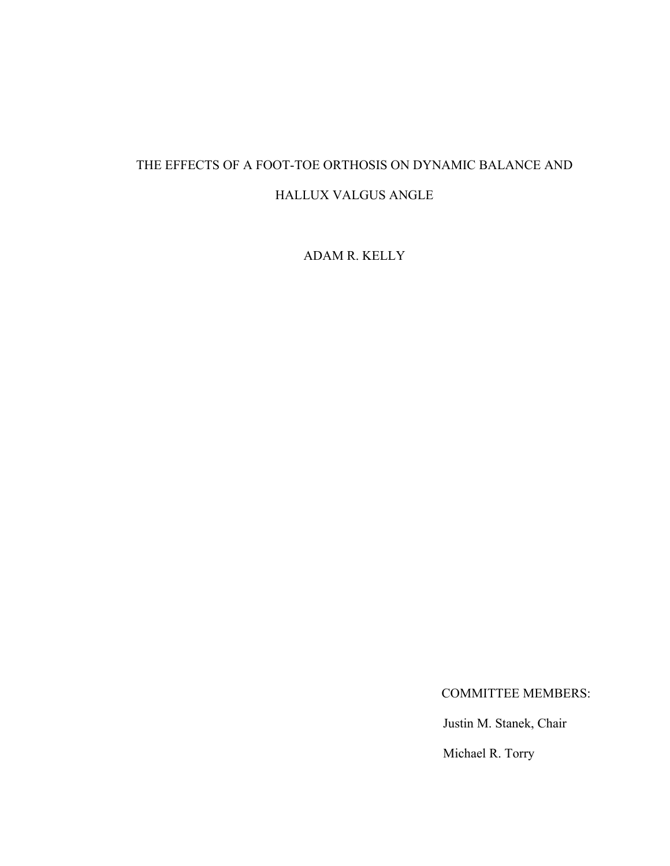# THE EFFECTS OF A FOOT-TOE ORTHOSIS ON DYNAMIC BALANCE AND HALLUX VALGUS ANGLE

ADAM R. KELLY

COMMITTEE MEMBERS:

Justin M. Stanek, Chair

Michael R. Torry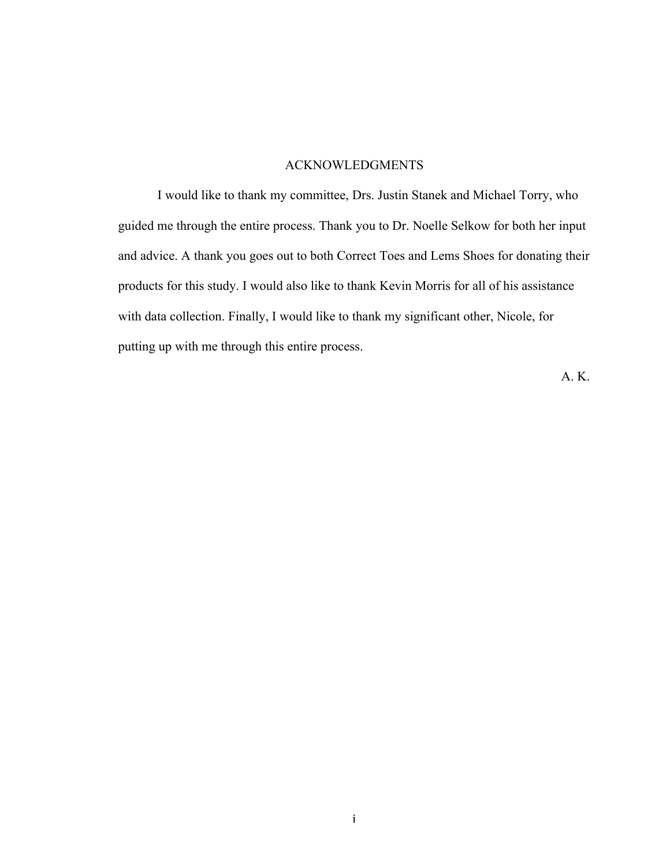### ACKNOWLEDGMENTS

I would like to thank my committee, Drs. Justin Stanek and Michael Torry, who guided me through the entire process. Thank you to Dr. Noelle Selkow for both her input and advice. A thank you goes out to both Correct Toes and Lems Shoes for donating their products for this study. I would also like to thank Kevin Morris for all of his assistance with data collection. Finally, I would like to thank my significant other, Nicole, for putting up with me through this entire process.

A. K.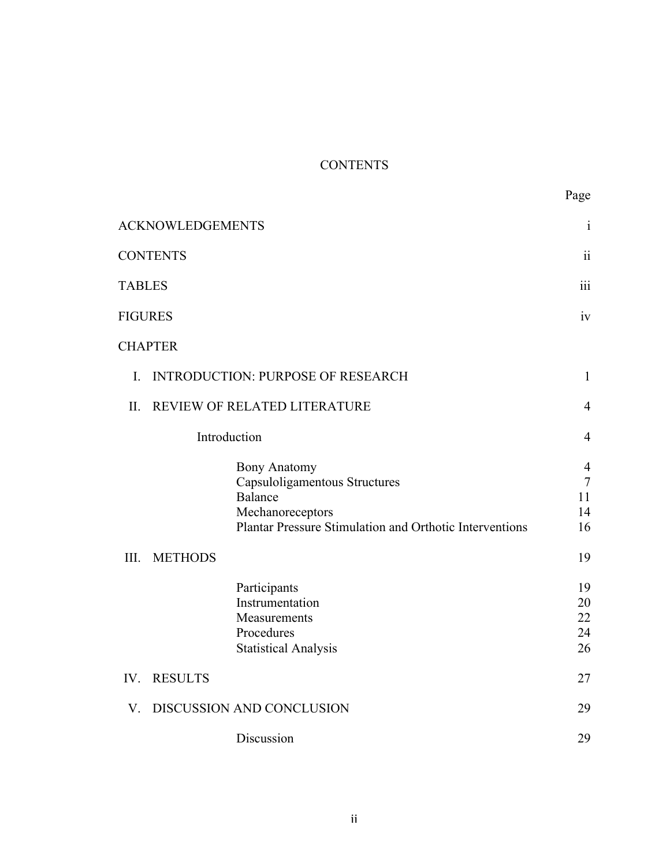# **CONTENTS**

|                                                         | <b>ACKNOWLEDGEMENTS</b>      |                                                                                                                                                | $\mathbf{i}$                               |  |  |
|---------------------------------------------------------|------------------------------|------------------------------------------------------------------------------------------------------------------------------------------------|--------------------------------------------|--|--|
|                                                         | <b>CONTENTS</b>              |                                                                                                                                                | $\ddot{\rm ii}$                            |  |  |
| <b>TABLES</b>                                           |                              |                                                                                                                                                | $\overline{111}$                           |  |  |
| <b>FIGURES</b>                                          |                              |                                                                                                                                                | iv                                         |  |  |
|                                                         | <b>CHAPTER</b>               |                                                                                                                                                |                                            |  |  |
| <b>INTRODUCTION: PURPOSE OF RESEARCH</b><br>$I_{\cdot}$ |                              |                                                                                                                                                |                                            |  |  |
| II.                                                     | REVIEW OF RELATED LITERATURE |                                                                                                                                                |                                            |  |  |
|                                                         | Introduction                 |                                                                                                                                                |                                            |  |  |
|                                                         |                              | <b>Bony Anatomy</b><br>Capsuloligamentous Structures<br>Balance<br>Mechanoreceptors<br>Plantar Pressure Stimulation and Orthotic Interventions | $\overline{4}$<br>$\tau$<br>11<br>14<br>16 |  |  |
| III.                                                    | <b>METHODS</b>               |                                                                                                                                                | 19                                         |  |  |
|                                                         |                              | Participants<br>Instrumentation<br>Measurements<br>Procedures<br><b>Statistical Analysis</b>                                                   | 19<br>20<br>22<br>24<br>26                 |  |  |
| IV.                                                     | <b>RESULTS</b>               |                                                                                                                                                | 27                                         |  |  |
| V.                                                      |                              | DISCUSSION AND CONCLUSION                                                                                                                      | 29                                         |  |  |
|                                                         |                              | Discussion                                                                                                                                     | 29                                         |  |  |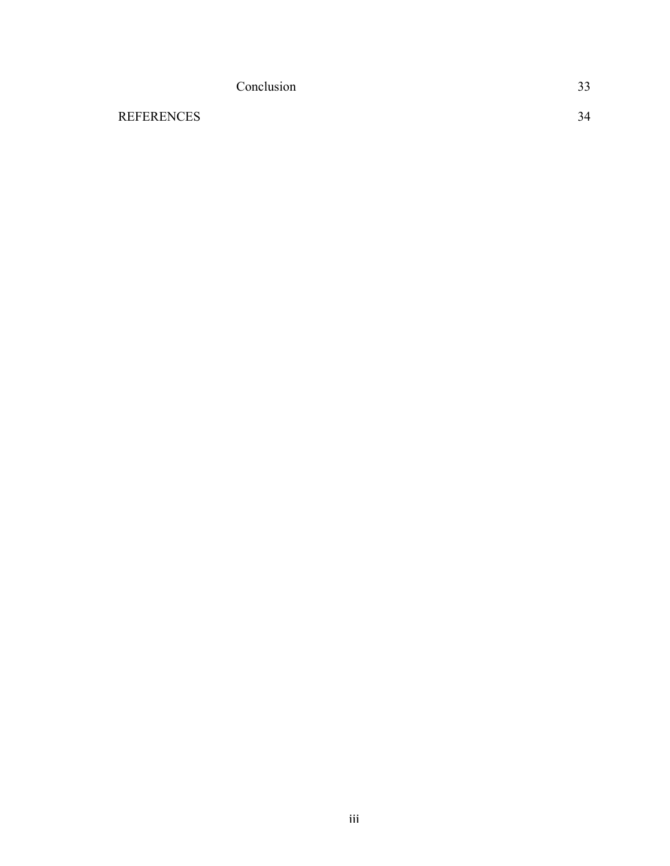|                   | Conclusion | 33 |
|-------------------|------------|----|
| <b>REFERENCES</b> |            | 34 |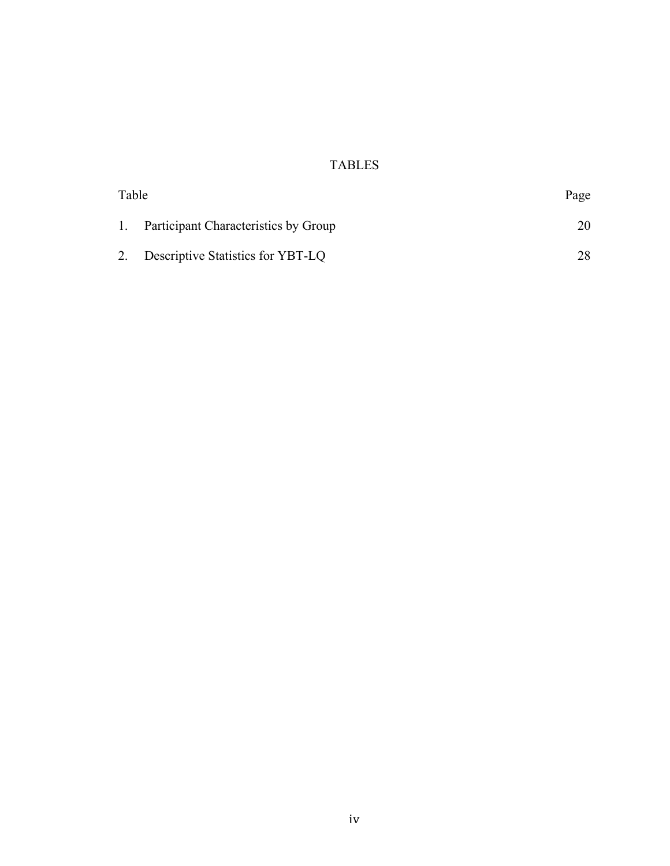# TABLES

| Table |                                         | Page |
|-------|-----------------------------------------|------|
|       | 1. Participant Characteristics by Group |      |
|       | 2. Descriptive Statistics for YBT-LQ    | 28   |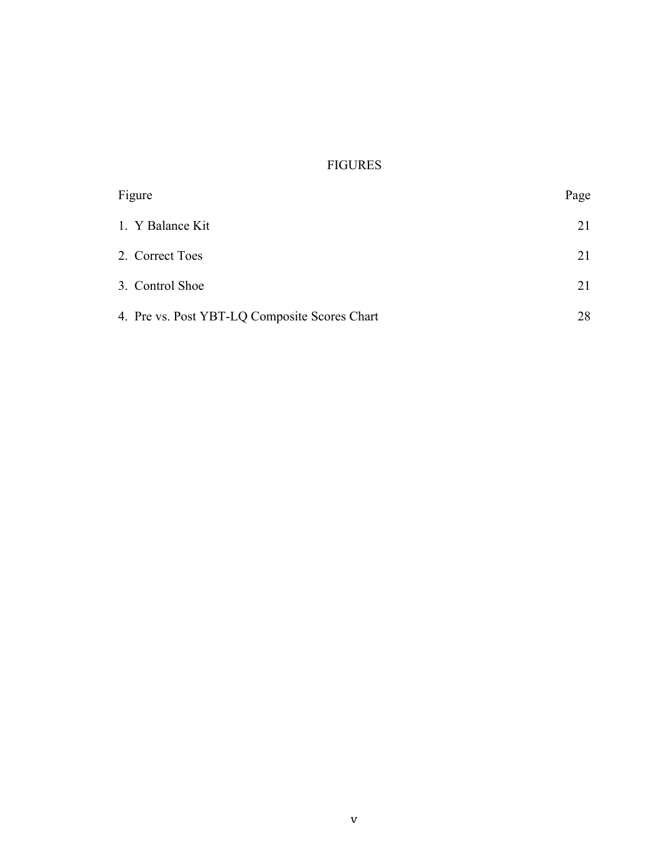# FIGURES

| Figure                                        | Page |
|-----------------------------------------------|------|
| 1. Y Balance Kit                              | 21   |
| 2. Correct Toes                               | 21   |
| 3. Control Shoe                               | 21   |
| 4. Pre vs. Post YBT-LQ Composite Scores Chart | 28   |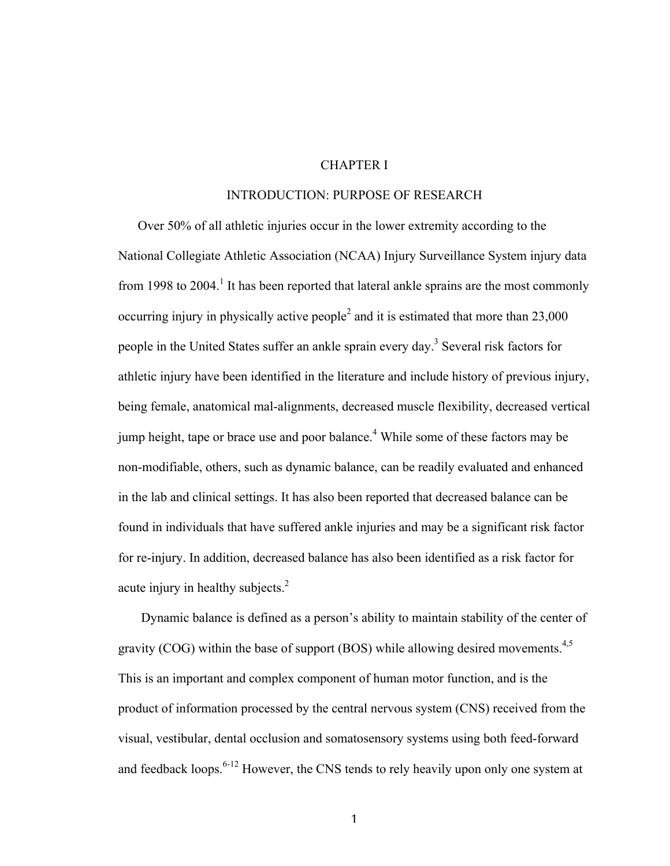### CHAPTER I

#### INTRODUCTION: PURPOSE OF RESEARCH

Over 50% of all athletic injuries occur in the lower extremity according to the National Collegiate Athletic Association (NCAA) Injury Surveillance System injury data from 1998 to 2004.<sup>1</sup> It has been reported that lateral ankle sprains are the most commonly occurring injury in physically active people<sup>2</sup> and it is estimated that more than  $23,000$ people in the United States suffer an ankle sprain every day.<sup>3</sup> Several risk factors for athletic injury have been identified in the literature and include history of previous injury, being female, anatomical mal-alignments, decreased muscle flexibility, decreased vertical jump height, tape or brace use and poor balance.<sup>4</sup> While some of these factors may be non-modifiable, others, such as dynamic balance, can be readily evaluated and enhanced in the lab and clinical settings. It has also been reported that decreased balance can be found in individuals that have suffered ankle injuries and may be a significant risk factor for re-injury. In addition, decreased balance has also been identified as a risk factor for acute injury in healthy subjects.<sup>2</sup>

 Dynamic balance is defined as a person's ability to maintain stability of the center of gravity (COG) within the base of support (BOS) while allowing desired movements.<sup>4,5</sup> This is an important and complex component of human motor function, and is the product of information processed by the central nervous system (CNS) received from the visual, vestibular, dental occlusion and somatosensory systems using both feed-forward and feedback loops.<sup>6-12</sup> However, the CNS tends to rely heavily upon only one system at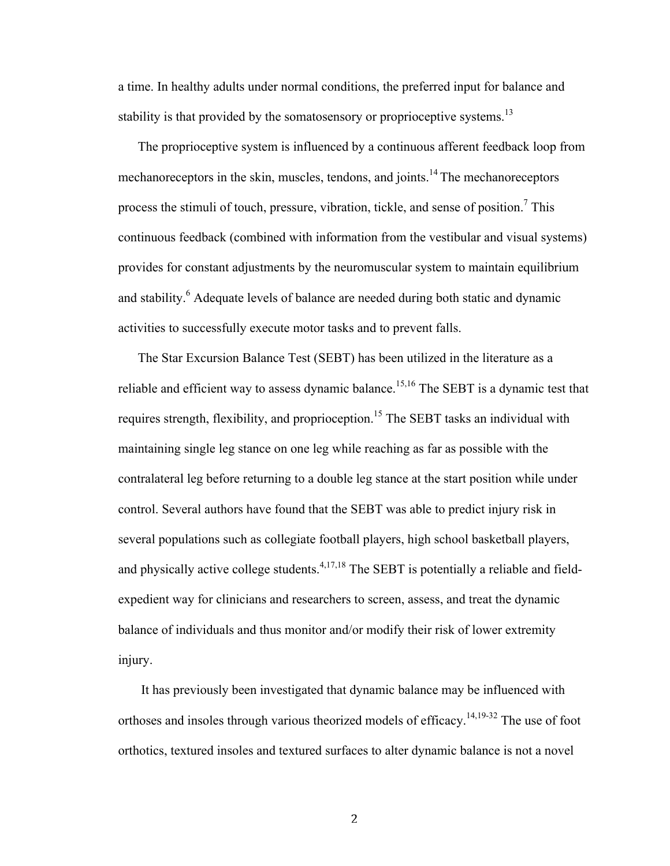a time. In healthy adults under normal conditions, the preferred input for balance and stability is that provided by the somatosensory or proprioceptive systems.<sup>13</sup>

The proprioceptive system is influenced by a continuous afferent feedback loop from mechanoreceptors in the skin, muscles, tendons, and joints.<sup>14</sup> The mechanoreceptors process the stimuli of touch, pressure, vibration, tickle, and sense of position.<sup>7</sup> This continuous feedback (combined with information from the vestibular and visual systems) provides for constant adjustments by the neuromuscular system to maintain equilibrium and stability.<sup>6</sup> Adequate levels of balance are needed during both static and dynamic activities to successfully execute motor tasks and to prevent falls.

The Star Excursion Balance Test (SEBT) has been utilized in the literature as a reliable and efficient way to assess dynamic balance.<sup>15,16</sup> The SEBT is a dynamic test that requires strength, flexibility, and proprioception.<sup>15</sup> The SEBT tasks an individual with maintaining single leg stance on one leg while reaching as far as possible with the contralateral leg before returning to a double leg stance at the start position while under control. Several authors have found that the SEBT was able to predict injury risk in several populations such as collegiate football players, high school basketball players, and physically active college students.  $4,17,18$  The SEBT is potentially a reliable and fieldexpedient way for clinicians and researchers to screen, assess, and treat the dynamic balance of individuals and thus monitor and/or modify their risk of lower extremity injury.

 It has previously been investigated that dynamic balance may be influenced with orthoses and insoles through various theorized models of efficacy.<sup>14,19-32</sup> The use of foot orthotics, textured insoles and textured surfaces to alter dynamic balance is not a novel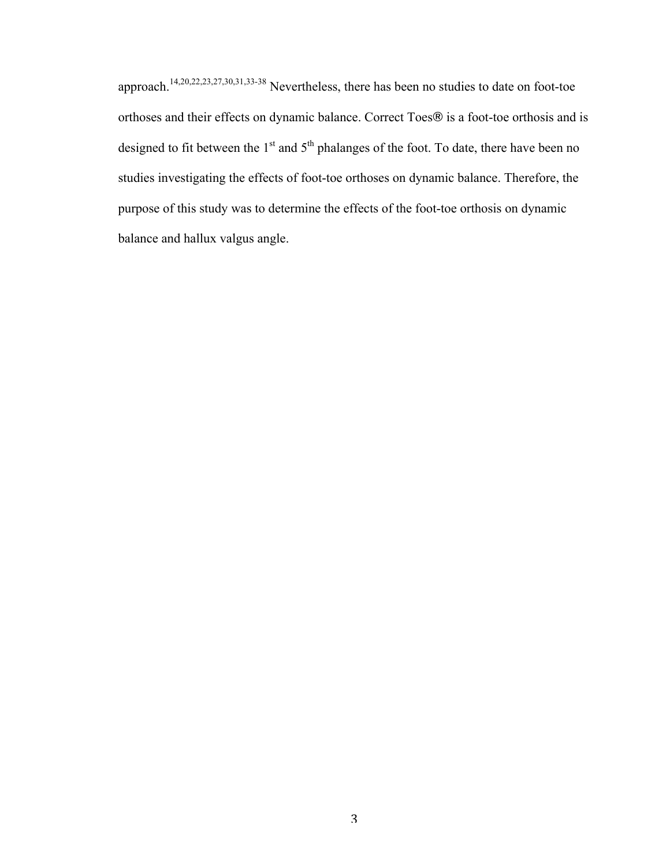approach.14,20,22,23,27,30,31,33-38 Nevertheless, there has been no studies to date on foot-toe orthoses and their effects on dynamic balance. Correct Toes® is a foot-toe orthosis and is designed to fit between the  $1<sup>st</sup>$  and  $5<sup>th</sup>$  phalanges of the foot. To date, there have been no studies investigating the effects of foot-toe orthoses on dynamic balance. Therefore, the purpose of this study was to determine the effects of the foot-toe orthosis on dynamic balance and hallux valgus angle.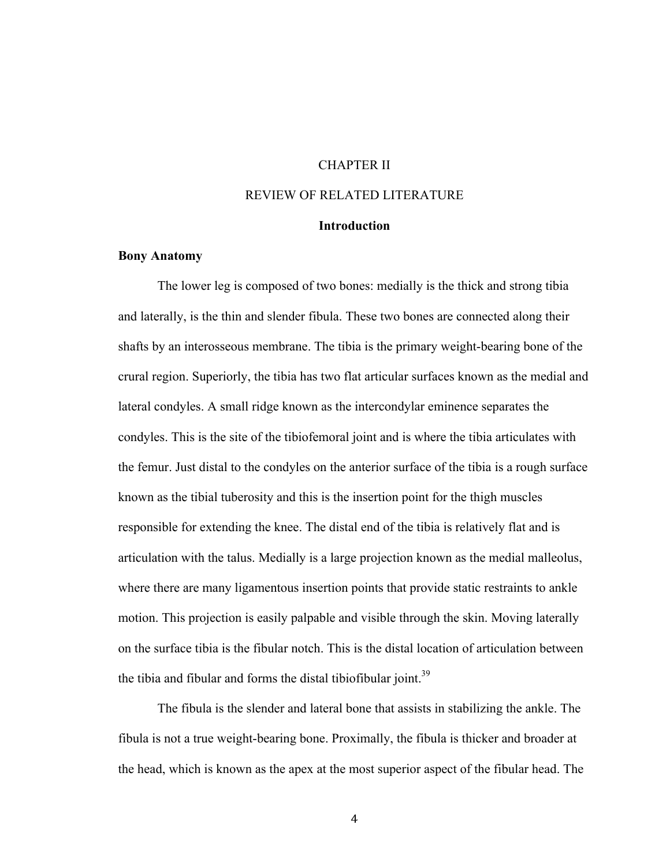### CHAPTER II

## REVIEW OF RELATED LITERATURE

#### **Introduction**

#### **Bony Anatomy**

The lower leg is composed of two bones: medially is the thick and strong tibia and laterally, is the thin and slender fibula. These two bones are connected along their shafts by an interosseous membrane. The tibia is the primary weight-bearing bone of the crural region. Superiorly, the tibia has two flat articular surfaces known as the medial and lateral condyles. A small ridge known as the intercondylar eminence separates the condyles. This is the site of the tibiofemoral joint and is where the tibia articulates with the femur. Just distal to the condyles on the anterior surface of the tibia is a rough surface known as the tibial tuberosity and this is the insertion point for the thigh muscles responsible for extending the knee. The distal end of the tibia is relatively flat and is articulation with the talus. Medially is a large projection known as the medial malleolus, where there are many ligamentous insertion points that provide static restraints to ankle motion. This projection is easily palpable and visible through the skin. Moving laterally on the surface tibia is the fibular notch. This is the distal location of articulation between the tibia and fibular and forms the distal tibiofibular joint.<sup>39</sup>

The fibula is the slender and lateral bone that assists in stabilizing the ankle. The fibula is not a true weight-bearing bone. Proximally, the fibula is thicker and broader at the head, which is known as the apex at the most superior aspect of the fibular head. The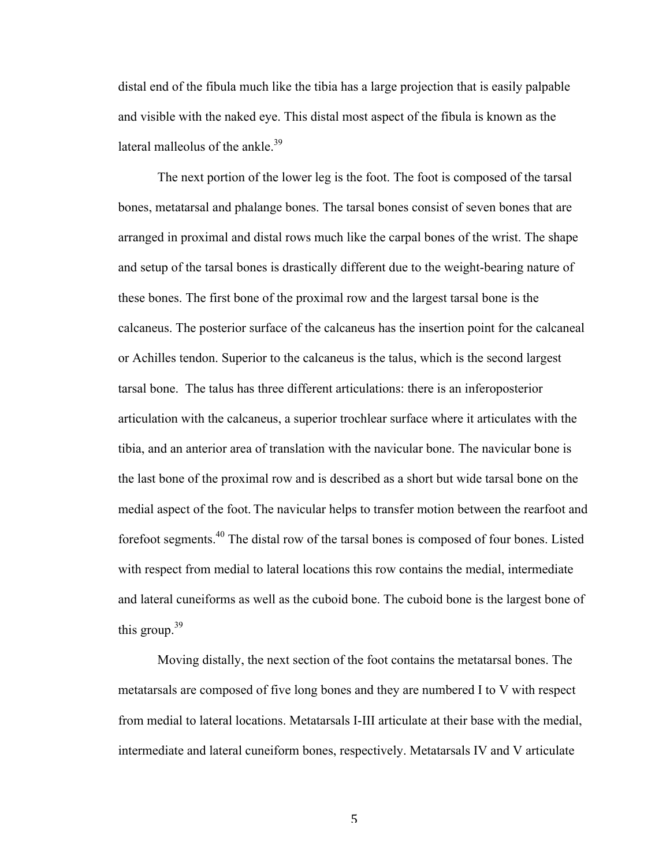distal end of the fibula much like the tibia has a large projection that is easily palpable and visible with the naked eye. This distal most aspect of the fibula is known as the lateral malleolus of the ankle.<sup>39</sup>

The next portion of the lower leg is the foot. The foot is composed of the tarsal bones, metatarsal and phalange bones. The tarsal bones consist of seven bones that are arranged in proximal and distal rows much like the carpal bones of the wrist. The shape and setup of the tarsal bones is drastically different due to the weight-bearing nature of these bones. The first bone of the proximal row and the largest tarsal bone is the calcaneus. The posterior surface of the calcaneus has the insertion point for the calcaneal or Achilles tendon. Superior to the calcaneus is the talus, which is the second largest tarsal bone. The talus has three different articulations: there is an inferoposterior articulation with the calcaneus, a superior trochlear surface where it articulates with the tibia, and an anterior area of translation with the navicular bone. The navicular bone is the last bone of the proximal row and is described as a short but wide tarsal bone on the medial aspect of the foot. The navicular helps to transfer motion between the rearfoot and forefoot segments.40 The distal row of the tarsal bones is composed of four bones. Listed with respect from medial to lateral locations this row contains the medial, intermediate and lateral cuneiforms as well as the cuboid bone. The cuboid bone is the largest bone of this group.<sup>39</sup>

Moving distally, the next section of the foot contains the metatarsal bones. The metatarsals are composed of five long bones and they are numbered I to V with respect from medial to lateral locations. Metatarsals I-III articulate at their base with the medial, intermediate and lateral cuneiform bones, respectively. Metatarsals IV and V articulate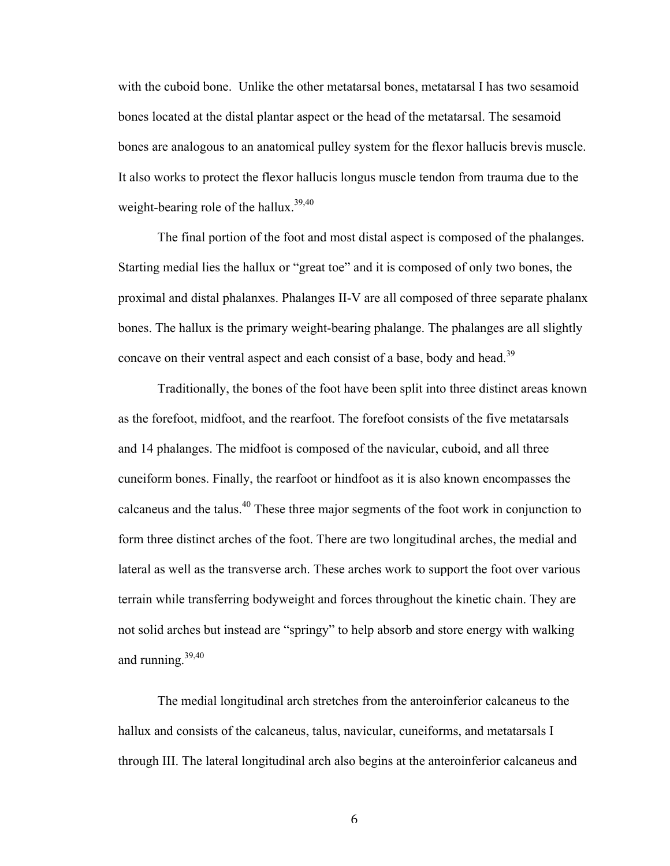with the cuboid bone. Unlike the other metatarsal bones, metatarsal I has two sesamoid bones located at the distal plantar aspect or the head of the metatarsal. The sesamoid bones are analogous to an anatomical pulley system for the flexor hallucis brevis muscle. It also works to protect the flexor hallucis longus muscle tendon from trauma due to the weight-bearing role of the hallux.<sup>39,40</sup>

The final portion of the foot and most distal aspect is composed of the phalanges. Starting medial lies the hallux or "great toe" and it is composed of only two bones, the proximal and distal phalanxes. Phalanges II-V are all composed of three separate phalanx bones. The hallux is the primary weight-bearing phalange. The phalanges are all slightly concave on their ventral aspect and each consist of a base, body and head.<sup>39</sup>

Traditionally, the bones of the foot have been split into three distinct areas known as the forefoot, midfoot, and the rearfoot. The forefoot consists of the five metatarsals and 14 phalanges. The midfoot is composed of the navicular, cuboid, and all three cuneiform bones. Finally, the rearfoot or hindfoot as it is also known encompasses the calcaneus and the talus.<sup>40</sup> These three major segments of the foot work in conjunction to form three distinct arches of the foot. There are two longitudinal arches, the medial and lateral as well as the transverse arch. These arches work to support the foot over various terrain while transferring bodyweight and forces throughout the kinetic chain. They are not solid arches but instead are "springy" to help absorb and store energy with walking and running. $39,40$ 

The medial longitudinal arch stretches from the anteroinferior calcaneus to the hallux and consists of the calcaneus, talus, navicular, cuneiforms, and metatarsals I through III. The lateral longitudinal arch also begins at the anteroinferior calcaneus and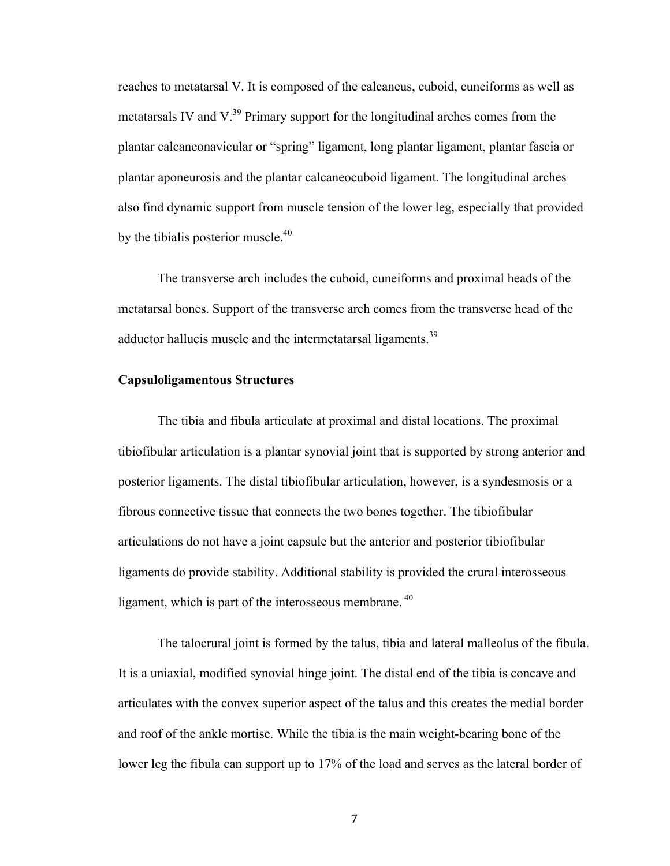reaches to metatarsal V. It is composed of the calcaneus, cuboid, cuneiforms as well as metatarsals IV and  $V^{39}$  Primary support for the longitudinal arches comes from the plantar calcaneonavicular or "spring" ligament, long plantar ligament, plantar fascia or plantar aponeurosis and the plantar calcaneocuboid ligament. The longitudinal arches also find dynamic support from muscle tension of the lower leg, especially that provided by the tibialis posterior muscle. $40$ 

The transverse arch includes the cuboid, cuneiforms and proximal heads of the metatarsal bones. Support of the transverse arch comes from the transverse head of the adductor hallucis muscle and the intermetatarsal ligaments.<sup>39</sup>

#### **Capsuloligamentous Structures**

The tibia and fibula articulate at proximal and distal locations. The proximal tibiofibular articulation is a plantar synovial joint that is supported by strong anterior and posterior ligaments. The distal tibiofibular articulation, however, is a syndesmosis or a fibrous connective tissue that connects the two bones together. The tibiofibular articulations do not have a joint capsule but the anterior and posterior tibiofibular ligaments do provide stability. Additional stability is provided the crural interosseous ligament, which is part of the interosseous membrane.<sup>40</sup>

The talocrural joint is formed by the talus, tibia and lateral malleolus of the fibula. It is a uniaxial, modified synovial hinge joint. The distal end of the tibia is concave and articulates with the convex superior aspect of the talus and this creates the medial border and roof of the ankle mortise. While the tibia is the main weight-bearing bone of the lower leg the fibula can support up to 17% of the load and serves as the lateral border of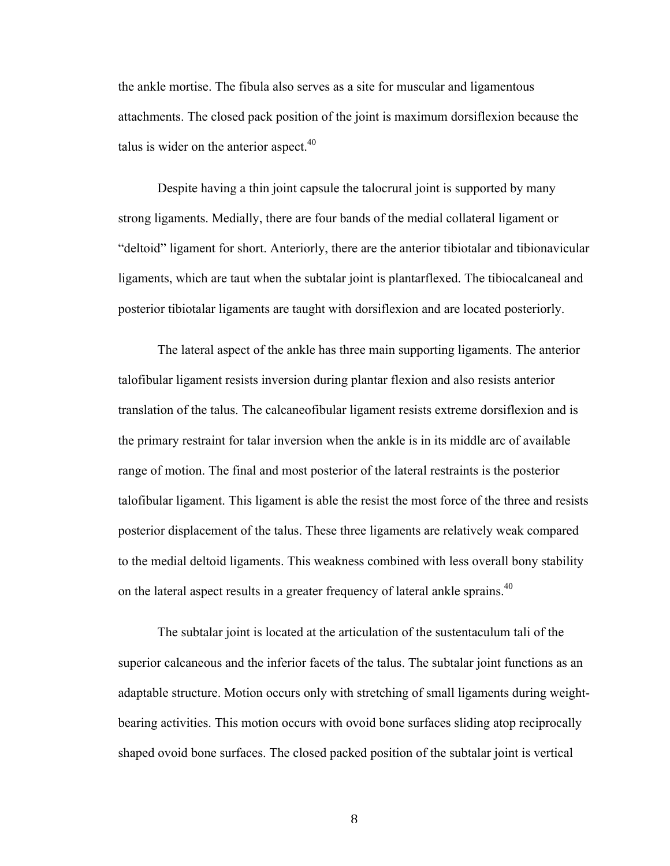the ankle mortise. The fibula also serves as a site for muscular and ligamentous attachments. The closed pack position of the joint is maximum dorsiflexion because the talus is wider on the anterior aspect. $40$ 

Despite having a thin joint capsule the talocrural joint is supported by many strong ligaments. Medially, there are four bands of the medial collateral ligament or "deltoid" ligament for short. Anteriorly, there are the anterior tibiotalar and tibionavicular ligaments, which are taut when the subtalar joint is plantarflexed. The tibiocalcaneal and posterior tibiotalar ligaments are taught with dorsiflexion and are located posteriorly.

The lateral aspect of the ankle has three main supporting ligaments. The anterior talofibular ligament resists inversion during plantar flexion and also resists anterior translation of the talus. The calcaneofibular ligament resists extreme dorsiflexion and is the primary restraint for talar inversion when the ankle is in its middle arc of available range of motion. The final and most posterior of the lateral restraints is the posterior talofibular ligament. This ligament is able the resist the most force of the three and resists posterior displacement of the talus. These three ligaments are relatively weak compared to the medial deltoid ligaments. This weakness combined with less overall bony stability on the lateral aspect results in a greater frequency of lateral ankle sprains.<sup>40</sup>

The subtalar joint is located at the articulation of the sustentaculum tali of the superior calcaneous and the inferior facets of the talus. The subtalar joint functions as an adaptable structure. Motion occurs only with stretching of small ligaments during weightbearing activities. This motion occurs with ovoid bone surfaces sliding atop reciprocally shaped ovoid bone surfaces. The closed packed position of the subtalar joint is vertical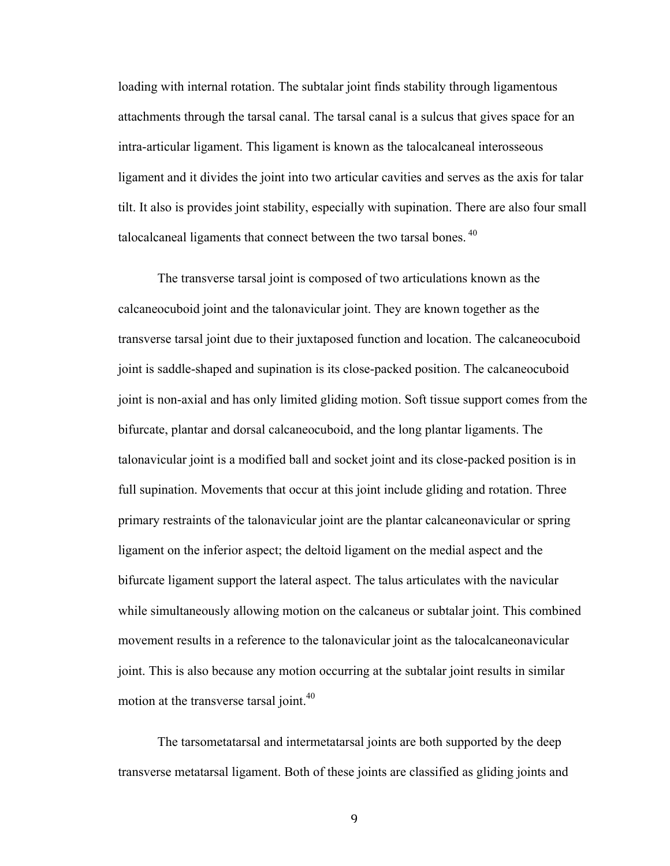loading with internal rotation. The subtalar joint finds stability through ligamentous attachments through the tarsal canal. The tarsal canal is a sulcus that gives space for an intra-articular ligament. This ligament is known as the talocalcaneal interosseous ligament and it divides the joint into two articular cavities and serves as the axis for talar tilt. It also is provides joint stability, especially with supination. There are also four small talocalcaneal ligaments that connect between the two tarsal bones.<sup>40</sup>

The transverse tarsal joint is composed of two articulations known as the calcaneocuboid joint and the talonavicular joint. They are known together as the transverse tarsal joint due to their juxtaposed function and location. The calcaneocuboid joint is saddle-shaped and supination is its close-packed position. The calcaneocuboid joint is non-axial and has only limited gliding motion. Soft tissue support comes from the bifurcate, plantar and dorsal calcaneocuboid, and the long plantar ligaments. The talonavicular joint is a modified ball and socket joint and its close-packed position is in full supination. Movements that occur at this joint include gliding and rotation. Three primary restraints of the talonavicular joint are the plantar calcaneonavicular or spring ligament on the inferior aspect; the deltoid ligament on the medial aspect and the bifurcate ligament support the lateral aspect. The talus articulates with the navicular while simultaneously allowing motion on the calcaneus or subtalar joint. This combined movement results in a reference to the talonavicular joint as the talocalcaneonavicular joint. This is also because any motion occurring at the subtalar joint results in similar motion at the transverse tarsal joint.<sup>40</sup>

The tarsometatarsal and intermetatarsal joints are both supported by the deep transverse metatarsal ligament. Both of these joints are classified as gliding joints and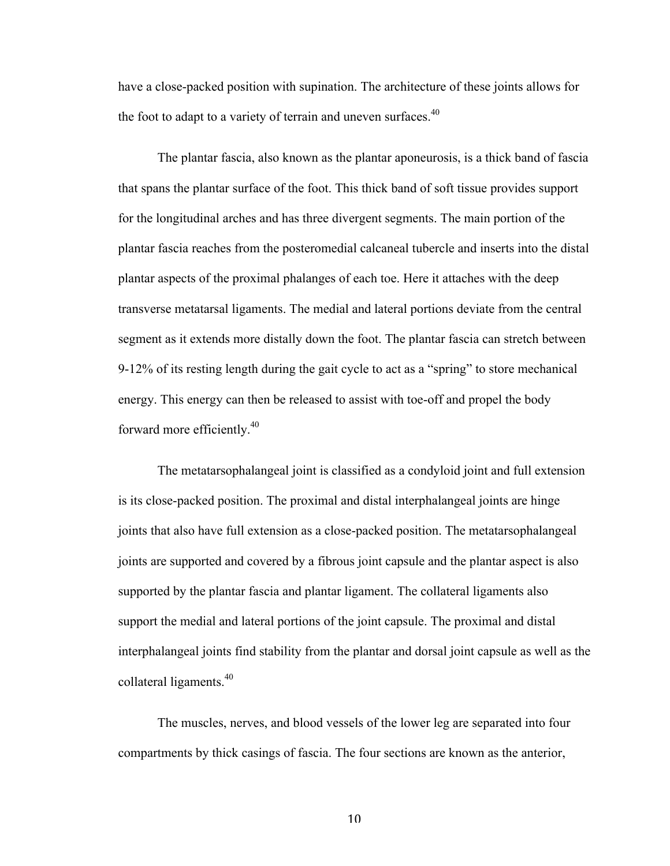have a close-packed position with supination. The architecture of these joints allows for the foot to adapt to a variety of terrain and uneven surfaces.<sup>40</sup>

The plantar fascia, also known as the plantar aponeurosis, is a thick band of fascia that spans the plantar surface of the foot. This thick band of soft tissue provides support for the longitudinal arches and has three divergent segments. The main portion of the plantar fascia reaches from the posteromedial calcaneal tubercle and inserts into the distal plantar aspects of the proximal phalanges of each toe. Here it attaches with the deep transverse metatarsal ligaments. The medial and lateral portions deviate from the central segment as it extends more distally down the foot. The plantar fascia can stretch between 9-12% of its resting length during the gait cycle to act as a "spring" to store mechanical energy. This energy can then be released to assist with toe-off and propel the body forward more efficiently.<sup>40</sup>

The metatarsophalangeal joint is classified as a condyloid joint and full extension is its close-packed position. The proximal and distal interphalangeal joints are hinge joints that also have full extension as a close-packed position. The metatarsophalangeal joints are supported and covered by a fibrous joint capsule and the plantar aspect is also supported by the plantar fascia and plantar ligament. The collateral ligaments also support the medial and lateral portions of the joint capsule. The proximal and distal interphalangeal joints find stability from the plantar and dorsal joint capsule as well as the collateral ligaments.  $40^{\circ}$ 

The muscles, nerves, and blood vessels of the lower leg are separated into four compartments by thick casings of fascia. The four sections are known as the anterior,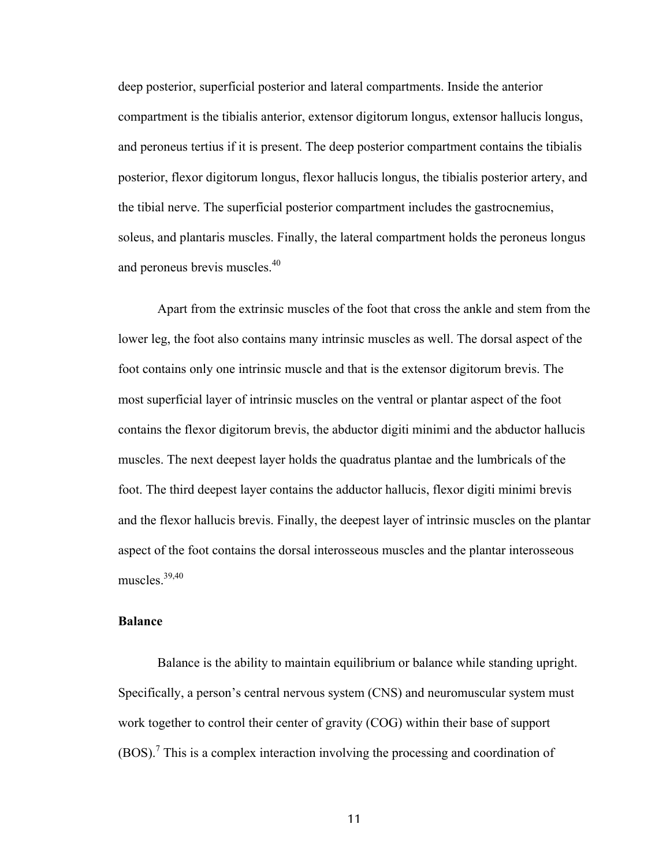deep posterior, superficial posterior and lateral compartments. Inside the anterior compartment is the tibialis anterior, extensor digitorum longus, extensor hallucis longus, and peroneus tertius if it is present. The deep posterior compartment contains the tibialis posterior, flexor digitorum longus, flexor hallucis longus, the tibialis posterior artery, and the tibial nerve. The superficial posterior compartment includes the gastrocnemius, soleus, and plantaris muscles. Finally, the lateral compartment holds the peroneus longus and peroneus brevis muscles.<sup>40</sup>

Apart from the extrinsic muscles of the foot that cross the ankle and stem from the lower leg, the foot also contains many intrinsic muscles as well. The dorsal aspect of the foot contains only one intrinsic muscle and that is the extensor digitorum brevis. The most superficial layer of intrinsic muscles on the ventral or plantar aspect of the foot contains the flexor digitorum brevis, the abductor digiti minimi and the abductor hallucis muscles. The next deepest layer holds the quadratus plantae and the lumbricals of the foot. The third deepest layer contains the adductor hallucis, flexor digiti minimi brevis and the flexor hallucis brevis. Finally, the deepest layer of intrinsic muscles on the plantar aspect of the foot contains the dorsal interosseous muscles and the plantar interosseous muscles  $39,40$ 

#### **Balance**

Balance is the ability to maintain equilibrium or balance while standing upright. Specifically, a person's central nervous system (CNS) and neuromuscular system must work together to control their center of gravity (COG) within their base of support (BOS).<sup>7</sup> This is a complex interaction involving the processing and coordination of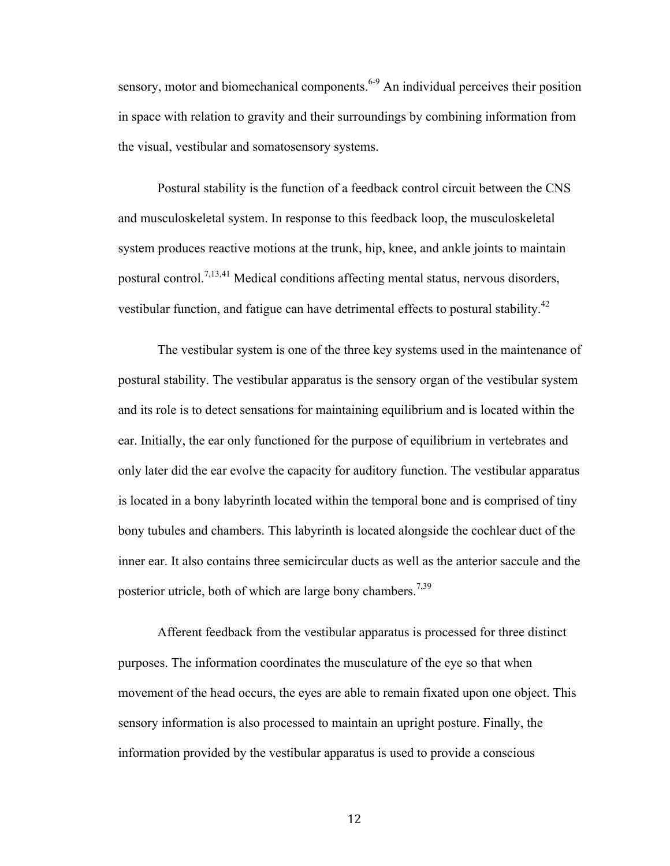sensory, motor and biomechanical components.<sup>6-9</sup> An individual perceives their position in space with relation to gravity and their surroundings by combining information from the visual, vestibular and somatosensory systems.

Postural stability is the function of a feedback control circuit between the CNS and musculoskeletal system. In response to this feedback loop, the musculoskeletal system produces reactive motions at the trunk, hip, knee, and ankle joints to maintain postural control.<sup>7,13,41</sup> Medical conditions affecting mental status, nervous disorders, vestibular function, and fatigue can have detrimental effects to postural stability.<sup>42</sup>

The vestibular system is one of the three key systems used in the maintenance of postural stability. The vestibular apparatus is the sensory organ of the vestibular system and its role is to detect sensations for maintaining equilibrium and is located within the ear. Initially, the ear only functioned for the purpose of equilibrium in vertebrates and only later did the ear evolve the capacity for auditory function. The vestibular apparatus is located in a bony labyrinth located within the temporal bone and is comprised of tiny bony tubules and chambers. This labyrinth is located alongside the cochlear duct of the inner ear. It also contains three semicircular ducts as well as the anterior saccule and the posterior utricle, both of which are large bony chambers.<sup>7,39</sup>

Afferent feedback from the vestibular apparatus is processed for three distinct purposes. The information coordinates the musculature of the eye so that when movement of the head occurs, the eyes are able to remain fixated upon one object. This sensory information is also processed to maintain an upright posture. Finally, the information provided by the vestibular apparatus is used to provide a conscious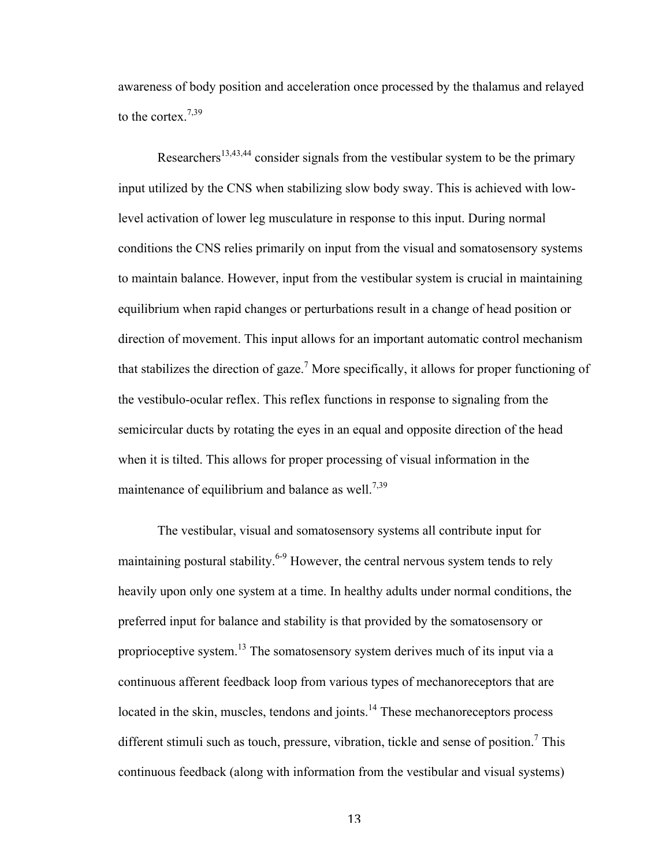awareness of body position and acceleration once processed by the thalamus and relayed to the cortex.<sup>7,39</sup>

Researchers<sup>13,43,44</sup> consider signals from the vestibular system to be the primary input utilized by the CNS when stabilizing slow body sway. This is achieved with lowlevel activation of lower leg musculature in response to this input. During normal conditions the CNS relies primarily on input from the visual and somatosensory systems to maintain balance. However, input from the vestibular system is crucial in maintaining equilibrium when rapid changes or perturbations result in a change of head position or direction of movement. This input allows for an important automatic control mechanism that stabilizes the direction of gaze.<sup>7</sup> More specifically, it allows for proper functioning of the vestibulo-ocular reflex. This reflex functions in response to signaling from the semicircular ducts by rotating the eyes in an equal and opposite direction of the head when it is tilted. This allows for proper processing of visual information in the maintenance of equilibrium and balance as well.<sup>7,39</sup>

The vestibular, visual and somatosensory systems all contribute input for maintaining postural stability.<sup>6-9</sup> However, the central nervous system tends to rely heavily upon only one system at a time. In healthy adults under normal conditions, the preferred input for balance and stability is that provided by the somatosensory or proprioceptive system.<sup>13</sup> The somatosensory system derives much of its input via a continuous afferent feedback loop from various types of mechanoreceptors that are located in the skin, muscles, tendons and joints.<sup>14</sup> These mechanoreceptors process different stimuli such as touch, pressure, vibration, tickle and sense of position.<sup>7</sup> This continuous feedback (along with information from the vestibular and visual systems)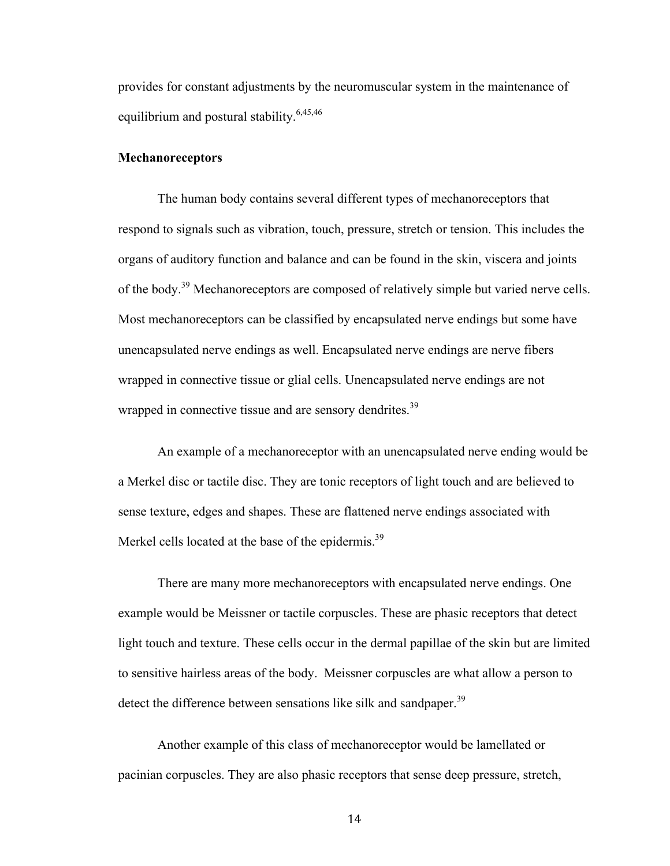provides for constant adjustments by the neuromuscular system in the maintenance of equilibrium and postural stability.<sup>6,45,46</sup>

#### **Mechanoreceptors**

The human body contains several different types of mechanoreceptors that respond to signals such as vibration, touch, pressure, stretch or tension. This includes the organs of auditory function and balance and can be found in the skin, viscera and joints of the body.39 Mechanoreceptors are composed of relatively simple but varied nerve cells. Most mechanoreceptors can be classified by encapsulated nerve endings but some have unencapsulated nerve endings as well. Encapsulated nerve endings are nerve fibers wrapped in connective tissue or glial cells. Unencapsulated nerve endings are not wrapped in connective tissue and are sensory dendrites.<sup>39</sup>

An example of a mechanoreceptor with an unencapsulated nerve ending would be a Merkel disc or tactile disc. They are tonic receptors of light touch and are believed to sense texture, edges and shapes. These are flattened nerve endings associated with Merkel cells located at the base of the epidermis.<sup>39</sup>

There are many more mechanoreceptors with encapsulated nerve endings. One example would be Meissner or tactile corpuscles. These are phasic receptors that detect light touch and texture. These cells occur in the dermal papillae of the skin but are limited to sensitive hairless areas of the body. Meissner corpuscles are what allow a person to detect the difference between sensations like silk and sandpaper.<sup>39</sup>

Another example of this class of mechanoreceptor would be lamellated or pacinian corpuscles. They are also phasic receptors that sense deep pressure, stretch,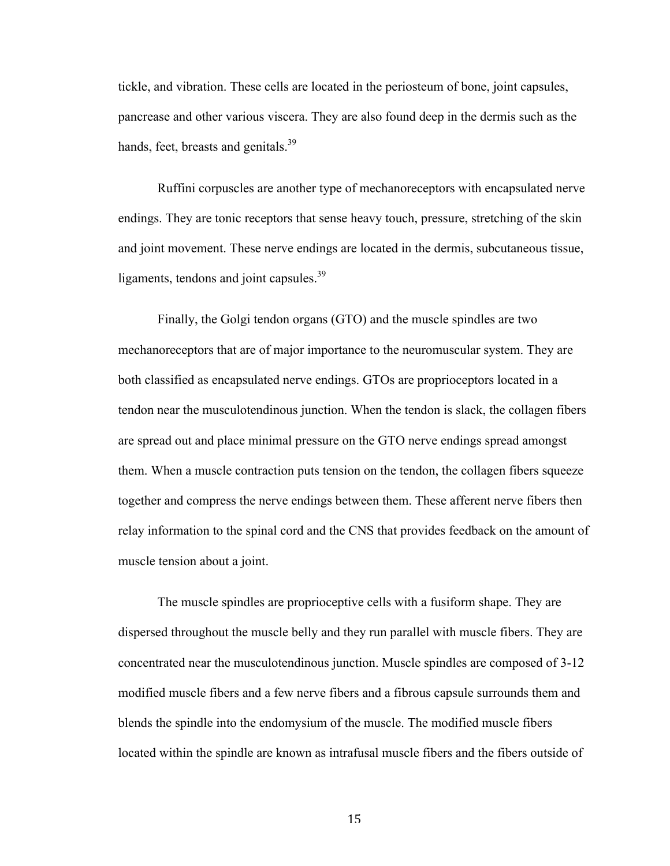tickle, and vibration. These cells are located in the periosteum of bone, joint capsules, pancrease and other various viscera. They are also found deep in the dermis such as the hands, feet, breasts and genitals. $39$ 

Ruffini corpuscles are another type of mechanoreceptors with encapsulated nerve endings. They are tonic receptors that sense heavy touch, pressure, stretching of the skin and joint movement. These nerve endings are located in the dermis, subcutaneous tissue, ligaments, tendons and joint capsules.<sup>39</sup>

Finally, the Golgi tendon organs (GTO) and the muscle spindles are two mechanoreceptors that are of major importance to the neuromuscular system. They are both classified as encapsulated nerve endings. GTOs are proprioceptors located in a tendon near the musculotendinous junction. When the tendon is slack, the collagen fibers are spread out and place minimal pressure on the GTO nerve endings spread amongst them. When a muscle contraction puts tension on the tendon, the collagen fibers squeeze together and compress the nerve endings between them. These afferent nerve fibers then relay information to the spinal cord and the CNS that provides feedback on the amount of muscle tension about a joint.

The muscle spindles are proprioceptive cells with a fusiform shape. They are dispersed throughout the muscle belly and they run parallel with muscle fibers. They are concentrated near the musculotendinous junction. Muscle spindles are composed of 3-12 modified muscle fibers and a few nerve fibers and a fibrous capsule surrounds them and blends the spindle into the endomysium of the muscle. The modified muscle fibers located within the spindle are known as intrafusal muscle fibers and the fibers outside of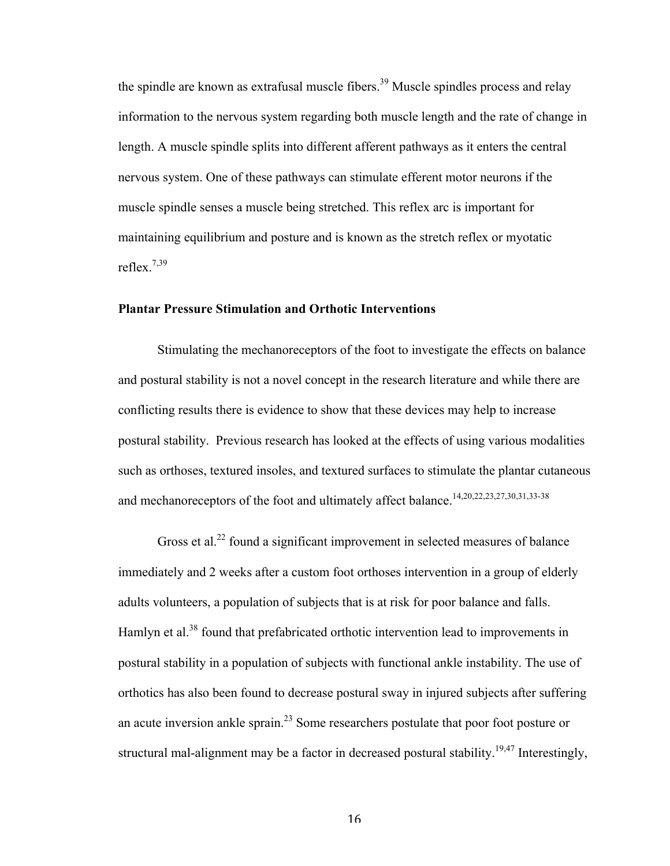the spindle are known as extrafusal muscle fibers.<sup>39</sup> Muscle spindles process and relay information to the nervous system regarding both muscle length and the rate of change in length. A muscle spindle splits into different afferent pathways as it enters the central nervous system. One of these pathways can stimulate efferent motor neurons if the muscle spindle senses a muscle being stretched. This reflex arc is important for maintaining equilibrium and posture and is known as the stretch reflex or myotatic reflex.7,39

#### **Plantar Pressure Stimulation and Orthotic Interventions**

Stimulating the mechanoreceptors of the foot to investigate the effects on balance and postural stability is not a novel concept in the research literature and while there are conflicting results there is evidence to show that these devices may help to increase postural stability. Previous research has looked at the effects of using various modalities such as orthoses, textured insoles, and textured surfaces to stimulate the plantar cutaneous and mechanoreceptors of the foot and ultimately affect balance.<sup>14,20,22,23,27,30,31,33-38</sup>

Gross et al.<sup>22</sup> found a significant improvement in selected measures of balance immediately and 2 weeks after a custom foot orthoses intervention in a group of elderly adults volunteers, a population of subjects that is at risk for poor balance and falls. Hamlyn et al.<sup>38</sup> found that prefabricated orthotic intervention lead to improvements in postural stability in a population of subjects with functional ankle instability. The use of orthotics has also been found to decrease postural sway in injured subjects after suffering an acute inversion ankle sprain.<sup>23</sup> Some researchers postulate that poor foot posture or structural mal-alignment may be a factor in decreased postural stability.<sup>19,47</sup> Interestingly,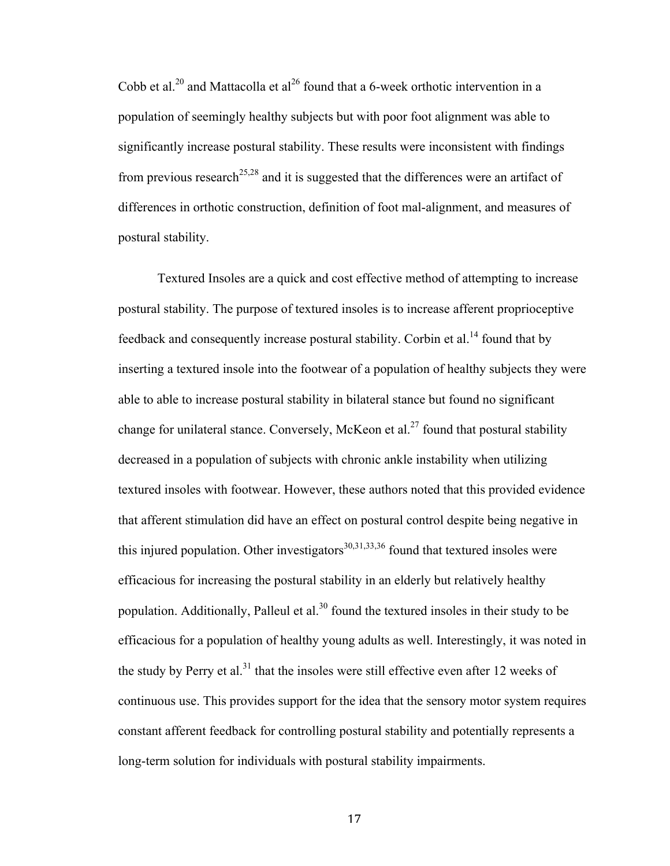Cobb et al.<sup>20</sup> and Mattacolla et al<sup>26</sup> found that a 6-week orthotic intervention in a population of seemingly healthy subjects but with poor foot alignment was able to significantly increase postural stability. These results were inconsistent with findings from previous research<sup>25,28</sup> and it is suggested that the differences were an artifact of differences in orthotic construction, definition of foot mal-alignment, and measures of postural stability.

Textured Insoles are a quick and cost effective method of attempting to increase postural stability. The purpose of textured insoles is to increase afferent proprioceptive feedback and consequently increase postural stability. Corbin et al.<sup>14</sup> found that by inserting a textured insole into the footwear of a population of healthy subjects they were able to able to increase postural stability in bilateral stance but found no significant change for unilateral stance. Conversely, McKeon et al.<sup>27</sup> found that postural stability decreased in a population of subjects with chronic ankle instability when utilizing textured insoles with footwear. However, these authors noted that this provided evidence that afferent stimulation did have an effect on postural control despite being negative in this injured population. Other investigators $30,31,33,36$  found that textured insoles were efficacious for increasing the postural stability in an elderly but relatively healthy population. Additionally, Palleul et al.<sup>30</sup> found the textured insoles in their study to be efficacious for a population of healthy young adults as well. Interestingly, it was noted in the study by Perry et al.<sup>31</sup> that the insoles were still effective even after 12 weeks of continuous use. This provides support for the idea that the sensory motor system requires constant afferent feedback for controlling postural stability and potentially represents a long-term solution for individuals with postural stability impairments.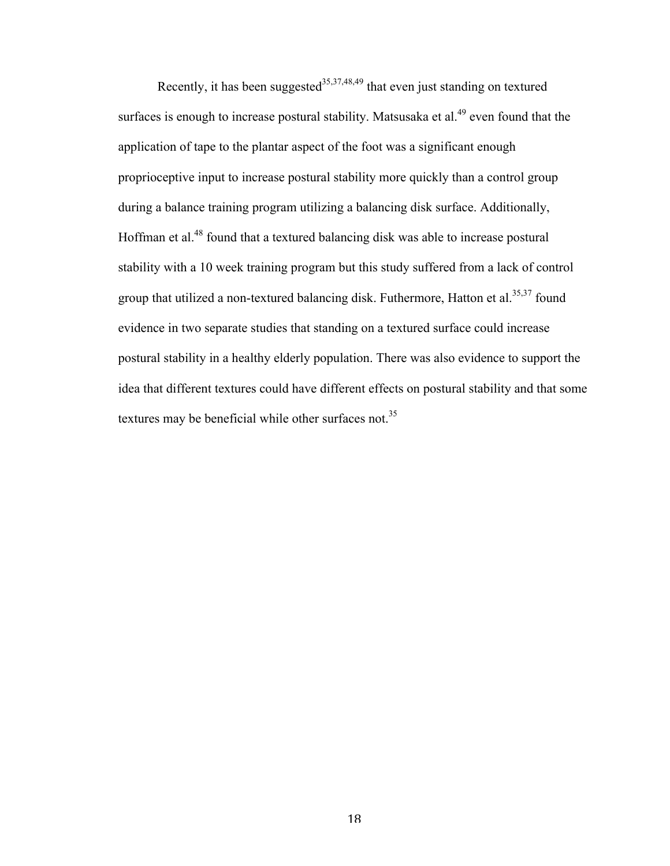Recently, it has been suggested<sup>35,37,48,49</sup> that even just standing on textured surfaces is enough to increase postural stability. Matsusaka et al.<sup>49</sup> even found that the application of tape to the plantar aspect of the foot was a significant enough proprioceptive input to increase postural stability more quickly than a control group during a balance training program utilizing a balancing disk surface. Additionally, Hoffman et al.<sup>48</sup> found that a textured balancing disk was able to increase postural stability with a 10 week training program but this study suffered from a lack of control group that utilized a non-textured balancing disk. Futhermore, Hatton et al.<sup>35,37</sup> found evidence in two separate studies that standing on a textured surface could increase postural stability in a healthy elderly population. There was also evidence to support the idea that different textures could have different effects on postural stability and that some textures may be beneficial while other surfaces not.<sup>35</sup>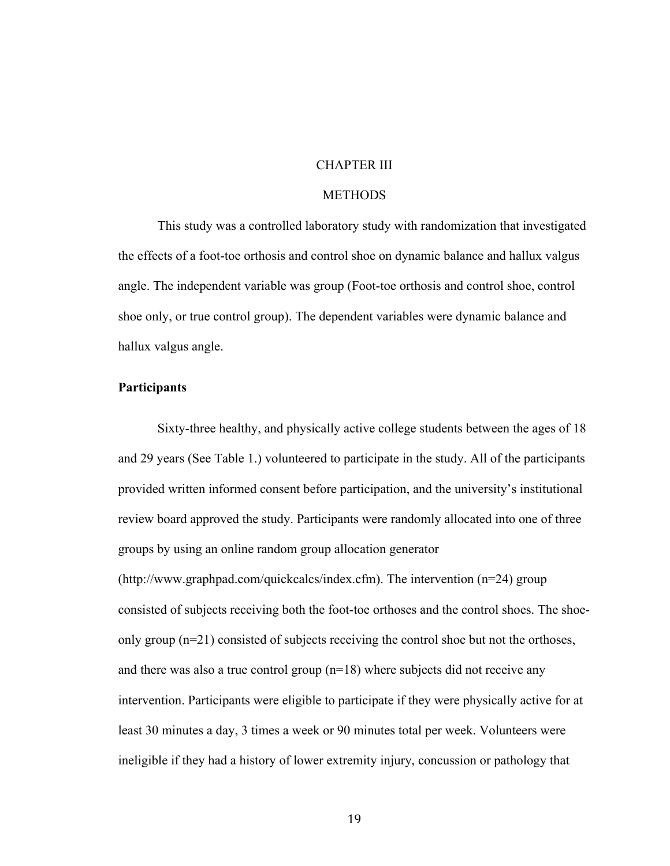#### CHAPTER III

### **METHODS**

This study was a controlled laboratory study with randomization that investigated the effects of a foot-toe orthosis and control shoe on dynamic balance and hallux valgus angle. The independent variable was group (Foot-toe orthosis and control shoe, control shoe only, or true control group). The dependent variables were dynamic balance and hallux valgus angle.

#### **Participants**

Sixty-three healthy, and physically active college students between the ages of 18 and 29 years (See Table 1.) volunteered to participate in the study. All of the participants provided written informed consent before participation, and the university's institutional review board approved the study. Participants were randomly allocated into one of three groups by using an online random group allocation generator (http://www.graphpad.com/quickcalcs/index.cfm). The intervention (n=24) group consisted of subjects receiving both the foot-toe orthoses and the control shoes. The shoeonly group (n=21) consisted of subjects receiving the control shoe but not the orthoses, and there was also a true control group  $(n=18)$  where subjects did not receive any intervention. Participants were eligible to participate if they were physically active for at least 30 minutes a day, 3 times a week or 90 minutes total per week. Volunteers were ineligible if they had a history of lower extremity injury, concussion or pathology that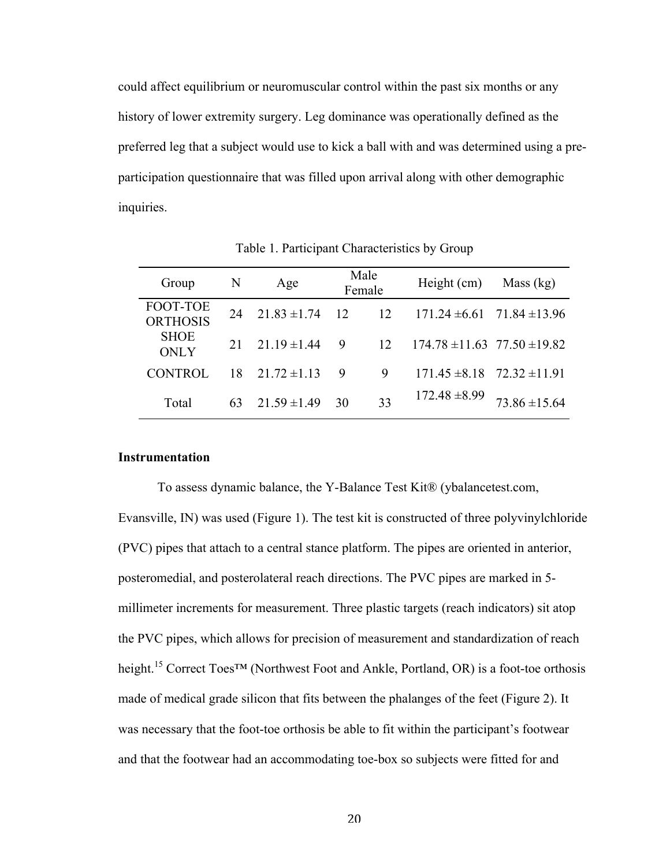could affect equilibrium or neuromuscular control within the past six months or any history of lower extremity surgery. Leg dominance was operationally defined as the preferred leg that a subject would use to kick a ball with and was determined using a preparticipation questionnaire that was filled upon arrival along with other demographic inquiries.

| Group                       | N  | Age              |                | Male<br>Female | Height $(cm)$                        | Mass $(kg)$       |
|-----------------------------|----|------------------|----------------|----------------|--------------------------------------|-------------------|
| FOOT-TOE<br><b>ORTHOSIS</b> | 24 | $21.83 \pm 1.74$ | $\frac{12}{2}$ | 12             | $171.24 \pm 6.61$ $71.84 \pm 13.96$  |                   |
| <b>SHOE</b><br><b>ONLY</b>  | 21 | $21.19 \pm 1.44$ | 9              | 12             | $174.78 \pm 11.63$ $77.50 \pm 19.82$ |                   |
| CONTROL                     | 18 | $21.72 \pm 1.13$ | 9              | 9              | $171.45 \pm 8.18$ $72.32 \pm 11.91$  |                   |
| Total                       | 63 | $21.59 \pm 1.49$ | 30             | 33             | $172.48 \pm 8.99$                    | $73.86 \pm 15.64$ |

Table 1. Participant Characteristics by Group

### **Instrumentation**

To assess dynamic balance, the Y-Balance Test Kit® (ybalancetest.com, Evansville, IN) was used (Figure 1). The test kit is constructed of three polyvinylchloride (PVC) pipes that attach to a central stance platform. The pipes are oriented in anterior, posteromedial, and posterolateral reach directions. The PVC pipes are marked in 5 millimeter increments for measurement. Three plastic targets (reach indicators) sit atop the PVC pipes, which allows for precision of measurement and standardization of reach height.<sup>15</sup> Correct Toes<sup>TM</sup> (Northwest Foot and Ankle, Portland, OR) is a foot-toe orthosis made of medical grade silicon that fits between the phalanges of the feet (Figure 2). It was necessary that the foot-toe orthosis be able to fit within the participant's footwear and that the footwear had an accommodating toe-box so subjects were fitted for and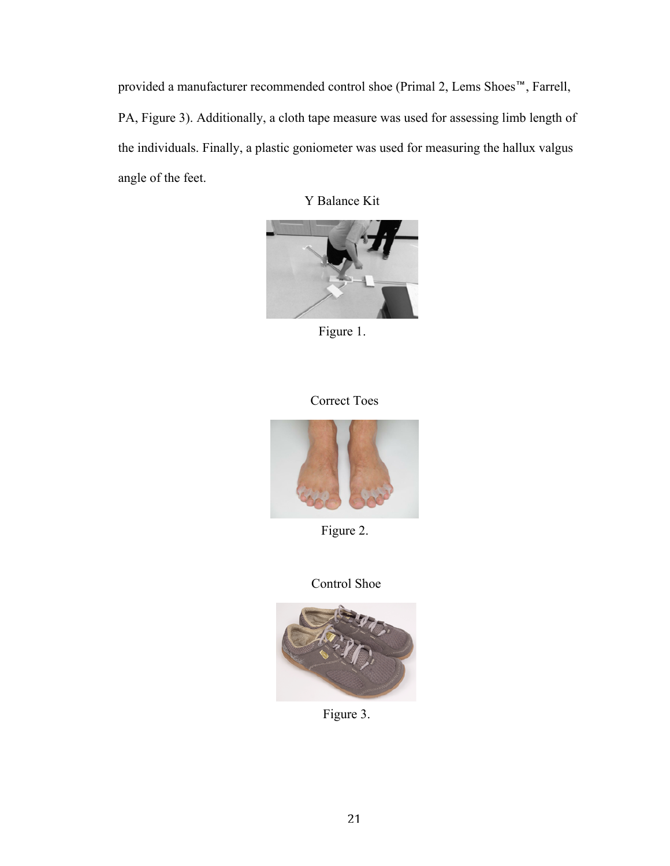provided a manufacturer recommended control shoe (Primal 2, Lems Shoes™, Farrell, PA, Figure 3). Additionally, a cloth tape measure was used for assessing limb length of the individuals. Finally, a plastic goniometer was used for measuring the hallux valgus angle of the feet.

Y Balance Kit



Figure 1.

## Correct Toes



Figure 2.

## Control Shoe



Figure 3.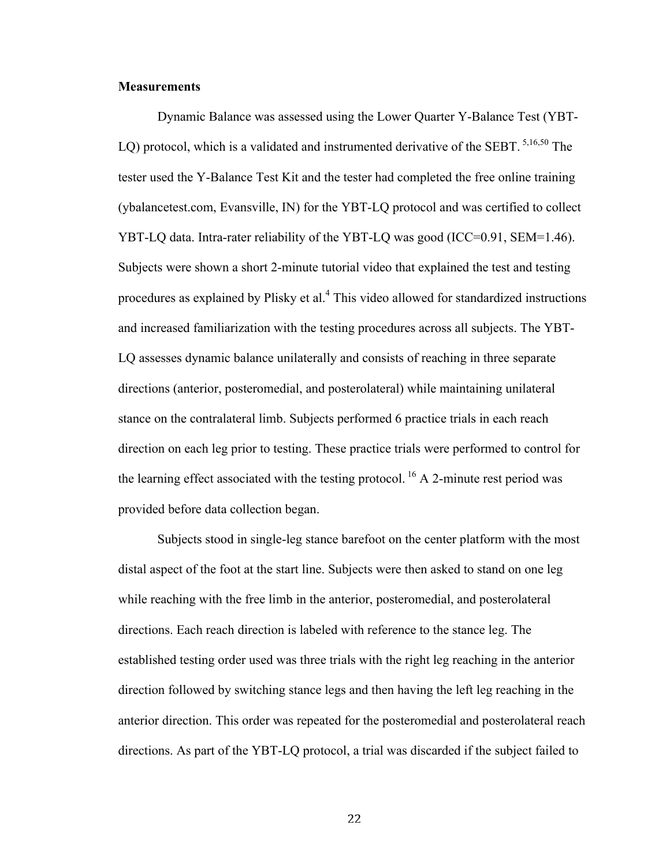#### **Measurements**

Dynamic Balance was assessed using the Lower Quarter Y-Balance Test (YBT-LQ) protocol, which is a validated and instrumented derivative of the SEBT.  $5,16,50$  The tester used the Y-Balance Test Kit and the tester had completed the free online training (ybalancetest.com, Evansville, IN) for the YBT-LQ protocol and was certified to collect YBT-LQ data. Intra-rater reliability of the YBT-LQ was good (ICC=0.91, SEM=1.46). Subjects were shown a short 2-minute tutorial video that explained the test and testing procedures as explained by Plisky et al.<sup>4</sup> This video allowed for standardized instructions and increased familiarization with the testing procedures across all subjects. The YBT-LQ assesses dynamic balance unilaterally and consists of reaching in three separate directions (anterior, posteromedial, and posterolateral) while maintaining unilateral stance on the contralateral limb. Subjects performed 6 practice trials in each reach direction on each leg prior to testing. These practice trials were performed to control for the learning effect associated with the testing protocol. <sup>16</sup> A 2-minute rest period was provided before data collection began.

Subjects stood in single-leg stance barefoot on the center platform with the most distal aspect of the foot at the start line. Subjects were then asked to stand on one leg while reaching with the free limb in the anterior, posteromedial, and posterolateral directions. Each reach direction is labeled with reference to the stance leg. The established testing order used was three trials with the right leg reaching in the anterior direction followed by switching stance legs and then having the left leg reaching in the anterior direction. This order was repeated for the posteromedial and posterolateral reach directions. As part of the YBT-LQ protocol, a trial was discarded if the subject failed to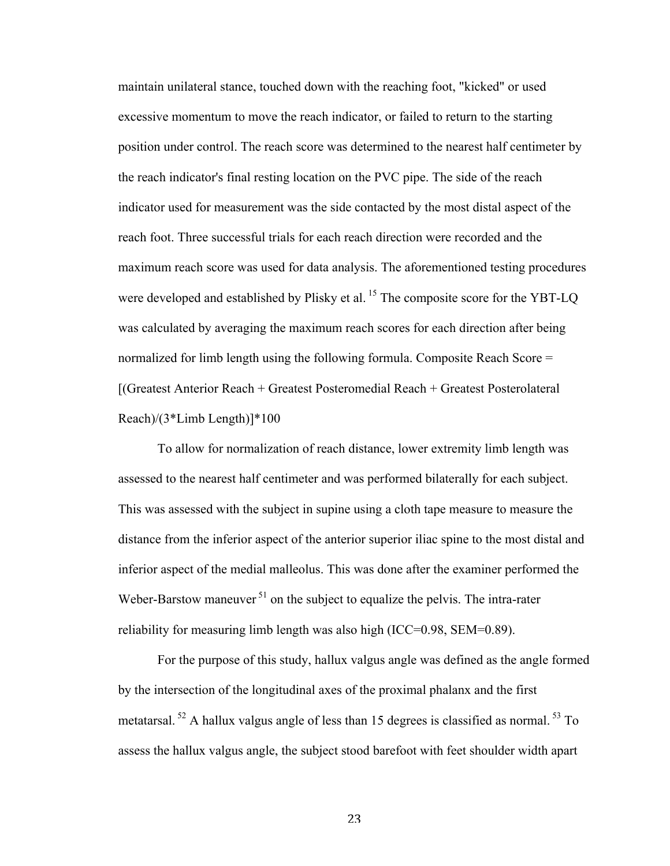maintain unilateral stance, touched down with the reaching foot, "kicked" or used excessive momentum to move the reach indicator, or failed to return to the starting position under control. The reach score was determined to the nearest half centimeter by the reach indicator's final resting location on the PVC pipe. The side of the reach indicator used for measurement was the side contacted by the most distal aspect of the reach foot. Three successful trials for each reach direction were recorded and the maximum reach score was used for data analysis. The aforementioned testing procedures were developed and established by Plisky et al.<sup>15</sup> The composite score for the YBT-LQ was calculated by averaging the maximum reach scores for each direction after being normalized for limb length using the following formula. Composite Reach Score = [(Greatest Anterior Reach + Greatest Posteromedial Reach + Greatest Posterolateral Reach)/(3\*Limb Length)]\*100

To allow for normalization of reach distance, lower extremity limb length was assessed to the nearest half centimeter and was performed bilaterally for each subject. This was assessed with the subject in supine using a cloth tape measure to measure the distance from the inferior aspect of the anterior superior iliac spine to the most distal and inferior aspect of the medial malleolus. This was done after the examiner performed the Weber-Barstow maneuver  $51$  on the subject to equalize the pelvis. The intra-rater reliability for measuring limb length was also high (ICC=0.98, SEM=0.89).

For the purpose of this study, hallux valgus angle was defined as the angle formed by the intersection of the longitudinal axes of the proximal phalanx and the first metatarsal.  $52$  A hallux valgus angle of less than 15 degrees is classified as normal.  $53$  To assess the hallux valgus angle, the subject stood barefoot with feet shoulder width apart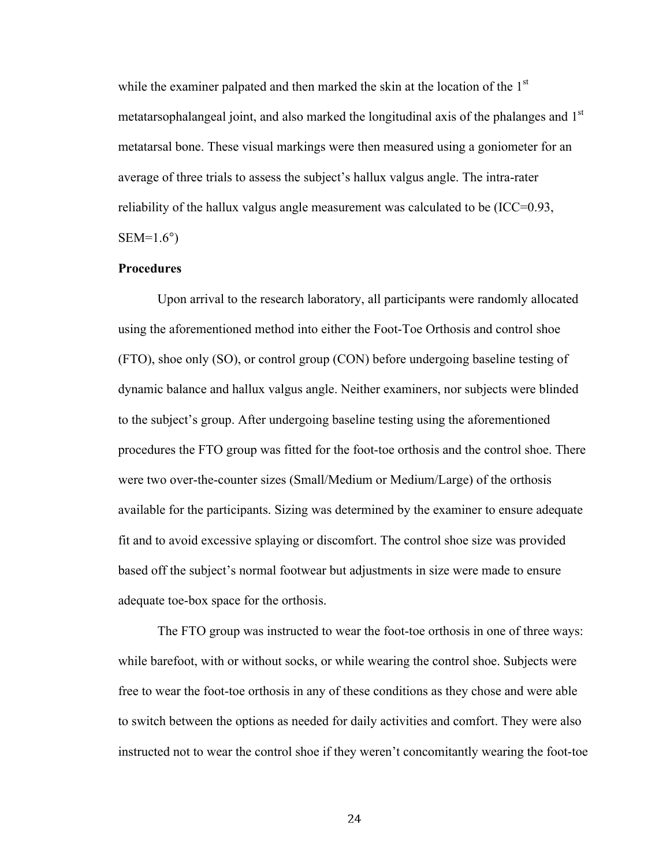while the examiner palpated and then marked the skin at the location of the  $1<sup>st</sup>$ metatarsophalangeal joint, and also marked the longitudinal axis of the phalanges and 1<sup>st</sup> metatarsal bone. These visual markings were then measured using a goniometer for an average of three trials to assess the subject's hallux valgus angle. The intra-rater reliability of the hallux valgus angle measurement was calculated to be (ICC=0.93,  $SEM=1.6^{\circ}$ )

#### **Procedures**

Upon arrival to the research laboratory, all participants were randomly allocated using the aforementioned method into either the Foot-Toe Orthosis and control shoe (FTO), shoe only (SO), or control group (CON) before undergoing baseline testing of dynamic balance and hallux valgus angle. Neither examiners, nor subjects were blinded to the subject's group. After undergoing baseline testing using the aforementioned procedures the FTO group was fitted for the foot-toe orthosis and the control shoe. There were two over-the-counter sizes (Small/Medium or Medium/Large) of the orthosis available for the participants. Sizing was determined by the examiner to ensure adequate fit and to avoid excessive splaying or discomfort. The control shoe size was provided based off the subject's normal footwear but adjustments in size were made to ensure adequate toe-box space for the orthosis.

The FTO group was instructed to wear the foot-toe orthosis in one of three ways: while barefoot, with or without socks, or while wearing the control shoe. Subjects were free to wear the foot-toe orthosis in any of these conditions as they chose and were able to switch between the options as needed for daily activities and comfort. They were also instructed not to wear the control shoe if they weren't concomitantly wearing the foot-toe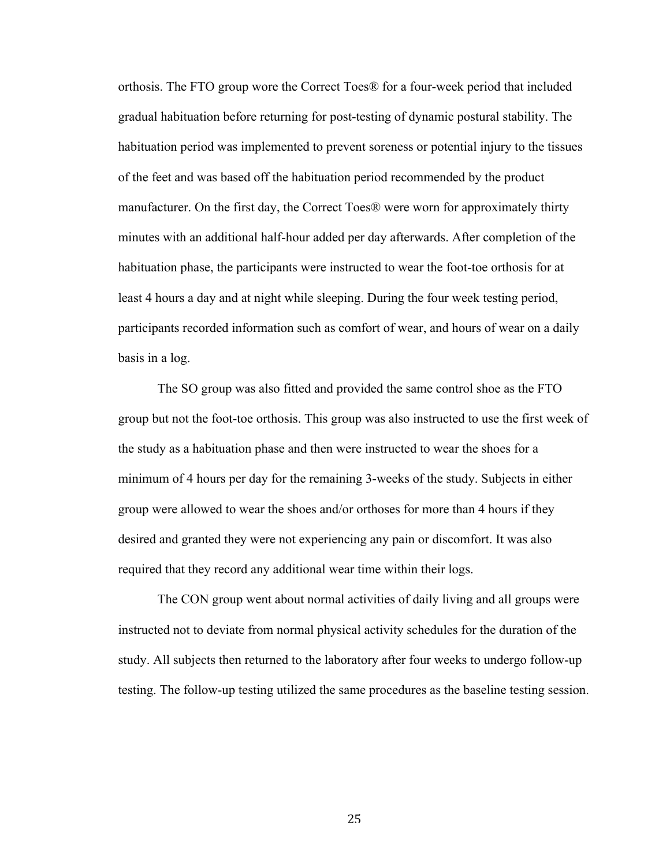orthosis. The FTO group wore the Correct Toes® for a four-week period that included gradual habituation before returning for post-testing of dynamic postural stability. The habituation period was implemented to prevent soreness or potential injury to the tissues of the feet and was based off the habituation period recommended by the product manufacturer. On the first day, the Correct Toes® were worn for approximately thirty minutes with an additional half-hour added per day afterwards. After completion of the habituation phase, the participants were instructed to wear the foot-toe orthosis for at least 4 hours a day and at night while sleeping. During the four week testing period, participants recorded information such as comfort of wear, and hours of wear on a daily basis in a log.

The SO group was also fitted and provided the same control shoe as the FTO group but not the foot-toe orthosis. This group was also instructed to use the first week of the study as a habituation phase and then were instructed to wear the shoes for a minimum of 4 hours per day for the remaining 3-weeks of the study. Subjects in either group were allowed to wear the shoes and/or orthoses for more than 4 hours if they desired and granted they were not experiencing any pain or discomfort. It was also required that they record any additional wear time within their logs.

The CON group went about normal activities of daily living and all groups were instructed not to deviate from normal physical activity schedules for the duration of the study. All subjects then returned to the laboratory after four weeks to undergo follow-up testing. The follow-up testing utilized the same procedures as the baseline testing session.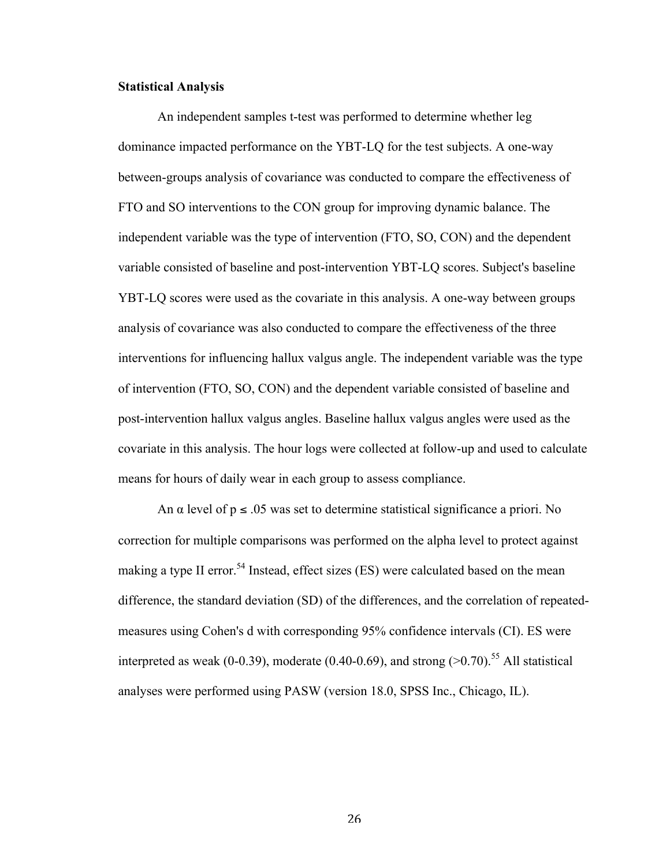#### **Statistical Analysis**

An independent samples t-test was performed to determine whether leg dominance impacted performance on the YBT-LQ for the test subjects. A one-way between-groups analysis of covariance was conducted to compare the effectiveness of FTO and SO interventions to the CON group for improving dynamic balance. The independent variable was the type of intervention (FTO, SO, CON) and the dependent variable consisted of baseline and post-intervention YBT-LQ scores. Subject's baseline YBT-LQ scores were used as the covariate in this analysis. A one-way between groups analysis of covariance was also conducted to compare the effectiveness of the three interventions for influencing hallux valgus angle. The independent variable was the type of intervention (FTO, SO, CON) and the dependent variable consisted of baseline and post-intervention hallux valgus angles. Baseline hallux valgus angles were used as the covariate in this analysis. The hour logs were collected at follow-up and used to calculate means for hours of daily wear in each group to assess compliance.

An  $\alpha$  level of  $p \le 0.05$  was set to determine statistical significance a priori. No correction for multiple comparisons was performed on the alpha level to protect against making a type II error.<sup>54</sup> Instead, effect sizes (ES) were calculated based on the mean difference, the standard deviation (SD) of the differences, and the correlation of repeatedmeasures using Cohen's d with corresponding 95% confidence intervals (CI). ES were interpreted as weak (0-0.39), moderate (0.40-0.69), and strong ( $>0.70$ ).<sup>55</sup> All statistical analyses were performed using PASW (version 18.0, SPSS Inc., Chicago, IL).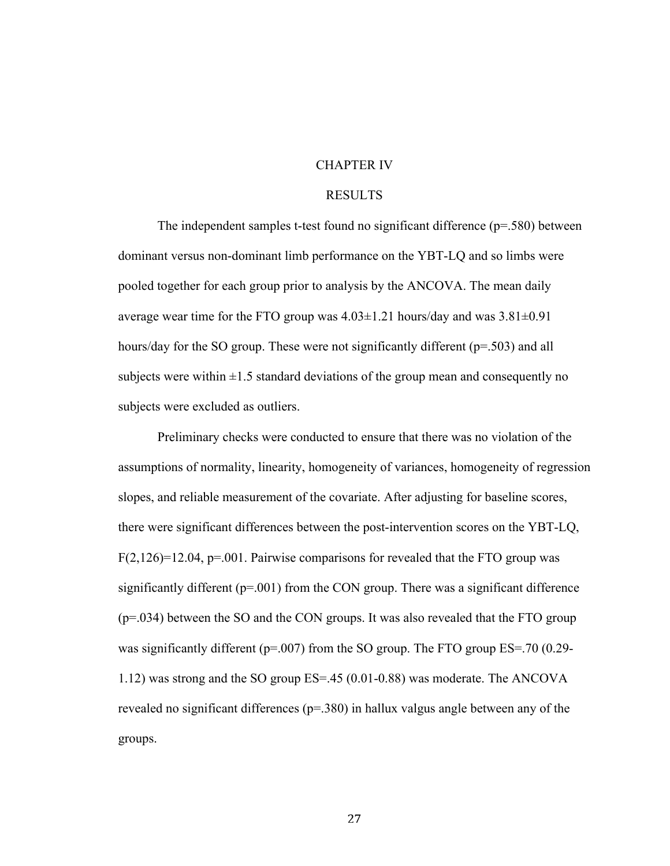#### CHAPTER IV

#### RESULTS

The independent samples t-test found no significant difference (p=.580) between dominant versus non-dominant limb performance on the YBT-LQ and so limbs were pooled together for each group prior to analysis by the ANCOVA. The mean daily average wear time for the FTO group was  $4.03 \pm 1.21$  hours/day and was  $3.81 \pm 0.91$ hours/day for the SO group. These were not significantly different (p=.503) and all subjects were within  $\pm 1.5$  standard deviations of the group mean and consequently no subjects were excluded as outliers.

Preliminary checks were conducted to ensure that there was no violation of the assumptions of normality, linearity, homogeneity of variances, homogeneity of regression slopes, and reliable measurement of the covariate. After adjusting for baseline scores, there were significant differences between the post-intervention scores on the YBT-LQ,  $F(2,126)=12.04$ ,  $p=.001$ . Pairwise comparisons for revealed that the FTO group was significantly different  $(p=001)$  from the CON group. There was a significant difference (p=.034) between the SO and the CON groups. It was also revealed that the FTO group was significantly different ( $p=0.007$ ) from the SO group. The FTO group ES=.70 (0.29-1.12) was strong and the SO group ES=.45 (0.01-0.88) was moderate. The ANCOVA revealed no significant differences ( $p=380$ ) in hallux valgus angle between any of the groups.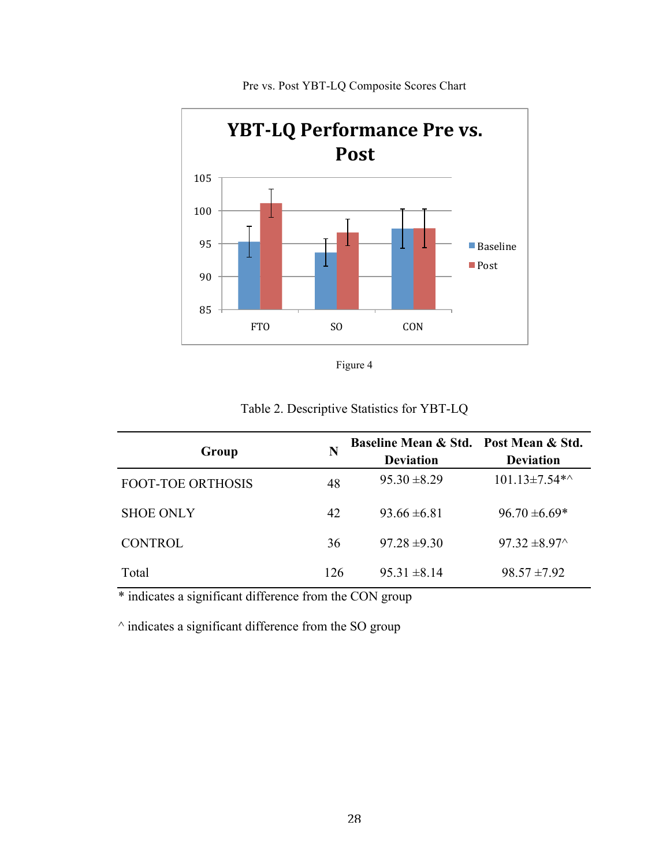

Pre vs. Post YBT-LQ Composite Scores Chart



Table 2. Descriptive Statistics for YBT-LQ

| Group                    |     | Baseline Mean & Std. Post Mean & Std. |                      |
|--------------------------|-----|---------------------------------------|----------------------|
|                          |     | <b>Deviation</b>                      | <b>Deviation</b>     |
| <b>FOOT-TOE ORTHOSIS</b> | 48  | $95.30 \pm 8.29$                      | $101.13 \pm 7.54$ *^ |
| <b>SHOE ONLY</b>         | 42  | $93.66 \pm 6.81$                      | $96.70 \pm 6.69*$    |
| <b>CONTROL</b>           | 36  | $97.28 \pm 9.30$                      | $97.32 \pm 8.97$     |
| Total                    | 126 | $95.31 \pm 8.14$                      | $98.57 \pm 7.92$     |

\* indicates a significant difference from the CON group

 $\land$  indicates a significant difference from the SO group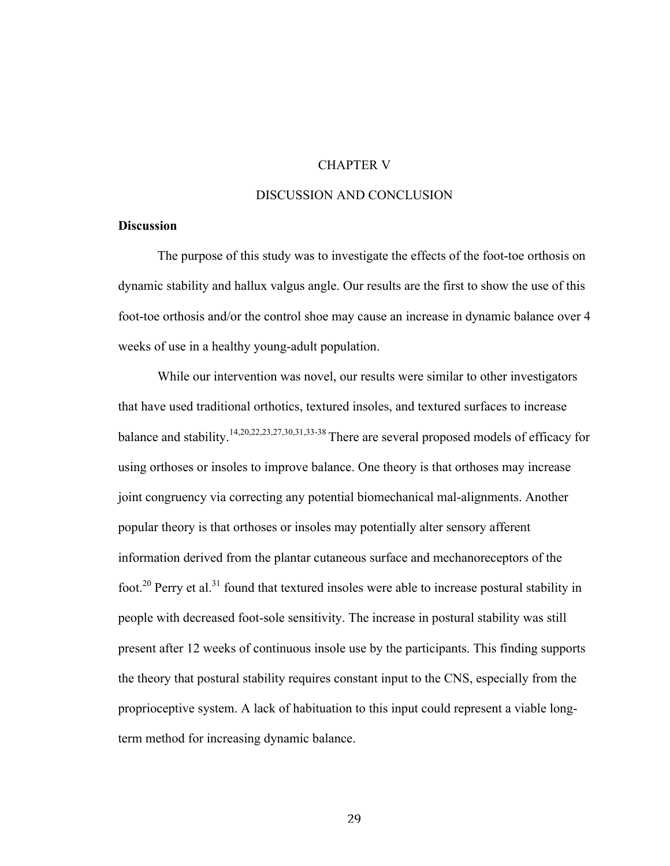### CHAPTER V

#### DISCUSSION AND CONCLUSION

#### **Discussion**

The purpose of this study was to investigate the effects of the foot-toe orthosis on dynamic stability and hallux valgus angle. Our results are the first to show the use of this foot-toe orthosis and/or the control shoe may cause an increase in dynamic balance over 4 weeks of use in a healthy young-adult population.

While our intervention was novel, our results were similar to other investigators that have used traditional orthotics, textured insoles, and textured surfaces to increase balance and stability.<sup>14,20,22,23,27,30,31,33-38</sup> There are several proposed models of efficacy for using orthoses or insoles to improve balance. One theory is that orthoses may increase joint congruency via correcting any potential biomechanical mal-alignments. Another popular theory is that orthoses or insoles may potentially alter sensory afferent information derived from the plantar cutaneous surface and mechanoreceptors of the foot.<sup>20</sup> Perry et al.<sup>31</sup> found that textured insoles were able to increase postural stability in people with decreased foot-sole sensitivity. The increase in postural stability was still present after 12 weeks of continuous insole use by the participants. This finding supports the theory that postural stability requires constant input to the CNS, especially from the proprioceptive system. A lack of habituation to this input could represent a viable longterm method for increasing dynamic balance.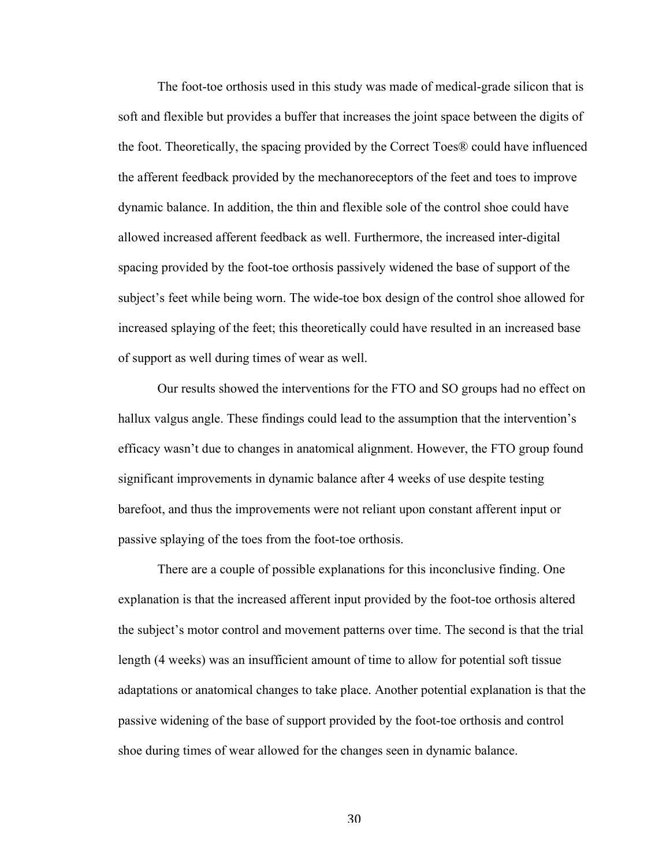The foot-toe orthosis used in this study was made of medical-grade silicon that is soft and flexible but provides a buffer that increases the joint space between the digits of the foot. Theoretically, the spacing provided by the Correct Toes® could have influenced the afferent feedback provided by the mechanoreceptors of the feet and toes to improve dynamic balance. In addition, the thin and flexible sole of the control shoe could have allowed increased afferent feedback as well. Furthermore, the increased inter-digital spacing provided by the foot-toe orthosis passively widened the base of support of the subject's feet while being worn. The wide-toe box design of the control shoe allowed for increased splaying of the feet; this theoretically could have resulted in an increased base of support as well during times of wear as well.

Our results showed the interventions for the FTO and SO groups had no effect on hallux valgus angle. These findings could lead to the assumption that the intervention's efficacy wasn't due to changes in anatomical alignment. However, the FTO group found significant improvements in dynamic balance after 4 weeks of use despite testing barefoot, and thus the improvements were not reliant upon constant afferent input or passive splaying of the toes from the foot-toe orthosis.

There are a couple of possible explanations for this inconclusive finding. One explanation is that the increased afferent input provided by the foot-toe orthosis altered the subject's motor control and movement patterns over time. The second is that the trial length (4 weeks) was an insufficient amount of time to allow for potential soft tissue adaptations or anatomical changes to take place. Another potential explanation is that the passive widening of the base of support provided by the foot-toe orthosis and control shoe during times of wear allowed for the changes seen in dynamic balance.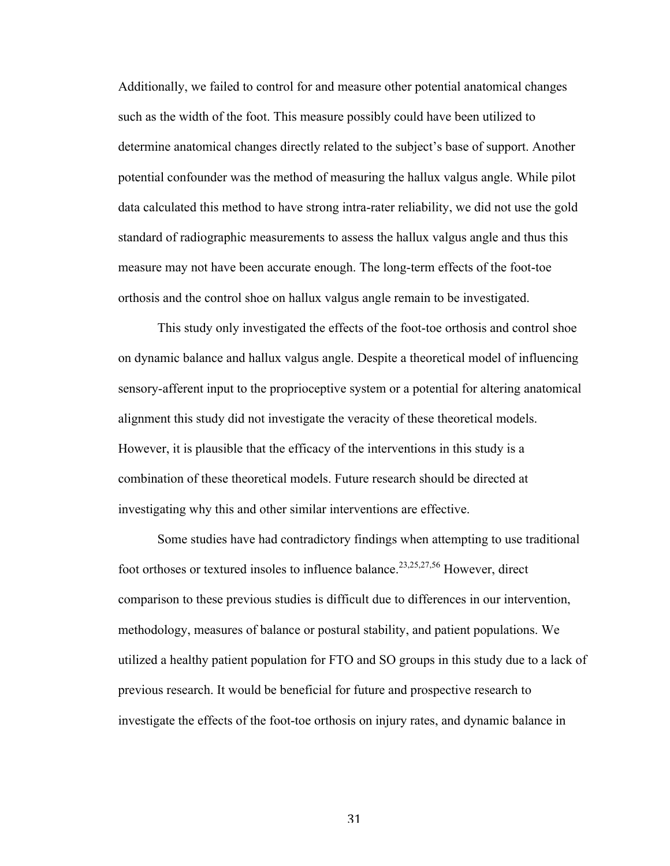Additionally, we failed to control for and measure other potential anatomical changes such as the width of the foot. This measure possibly could have been utilized to determine anatomical changes directly related to the subject's base of support. Another potential confounder was the method of measuring the hallux valgus angle. While pilot data calculated this method to have strong intra-rater reliability, we did not use the gold standard of radiographic measurements to assess the hallux valgus angle and thus this measure may not have been accurate enough. The long-term effects of the foot-toe orthosis and the control shoe on hallux valgus angle remain to be investigated.

This study only investigated the effects of the foot-toe orthosis and control shoe on dynamic balance and hallux valgus angle. Despite a theoretical model of influencing sensory-afferent input to the proprioceptive system or a potential for altering anatomical alignment this study did not investigate the veracity of these theoretical models. However, it is plausible that the efficacy of the interventions in this study is a combination of these theoretical models. Future research should be directed at investigating why this and other similar interventions are effective.

Some studies have had contradictory findings when attempting to use traditional foot orthoses or textured insoles to influence balance.<sup>23,25,27,56</sup> However, direct comparison to these previous studies is difficult due to differences in our intervention, methodology, measures of balance or postural stability, and patient populations. We utilized a healthy patient population for FTO and SO groups in this study due to a lack of previous research. It would be beneficial for future and prospective research to investigate the effects of the foot-toe orthosis on injury rates, and dynamic balance in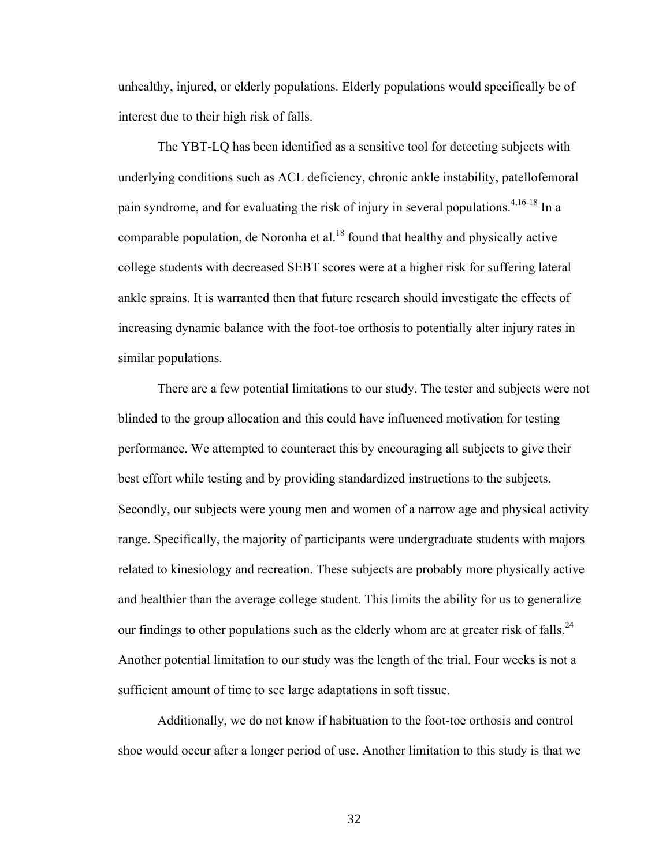unhealthy, injured, or elderly populations. Elderly populations would specifically be of interest due to their high risk of falls.

The YBT-LQ has been identified as a sensitive tool for detecting subjects with underlying conditions such as ACL deficiency, chronic ankle instability, patellofemoral pain syndrome, and for evaluating the risk of injury in several populations.<sup>4,16-18</sup> In a comparable population, de Noronha et al.<sup>18</sup> found that healthy and physically active college students with decreased SEBT scores were at a higher risk for suffering lateral ankle sprains. It is warranted then that future research should investigate the effects of increasing dynamic balance with the foot-toe orthosis to potentially alter injury rates in similar populations.

There are a few potential limitations to our study. The tester and subjects were not blinded to the group allocation and this could have influenced motivation for testing performance. We attempted to counteract this by encouraging all subjects to give their best effort while testing and by providing standardized instructions to the subjects. Secondly, our subjects were young men and women of a narrow age and physical activity range. Specifically, the majority of participants were undergraduate students with majors related to kinesiology and recreation. These subjects are probably more physically active and healthier than the average college student. This limits the ability for us to generalize our findings to other populations such as the elderly whom are at greater risk of falls.<sup>24</sup> Another potential limitation to our study was the length of the trial. Four weeks is not a sufficient amount of time to see large adaptations in soft tissue.

Additionally, we do not know if habituation to the foot-toe orthosis and control shoe would occur after a longer period of use. Another limitation to this study is that we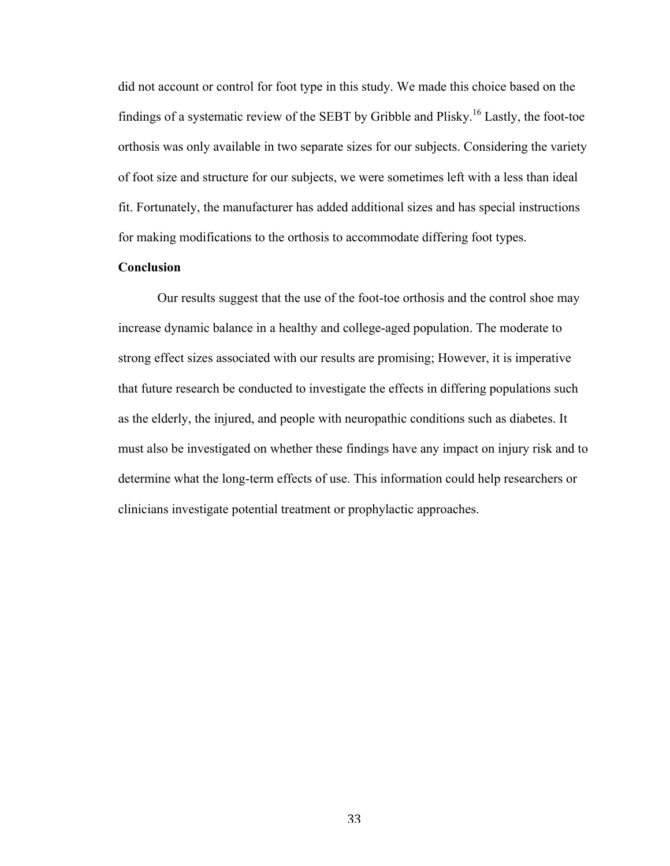did not account or control for foot type in this study. We made this choice based on the findings of a systematic review of the SEBT by Gribble and Plisky.16 Lastly, the foot-toe orthosis was only available in two separate sizes for our subjects. Considering the variety of foot size and structure for our subjects, we were sometimes left with a less than ideal fit. Fortunately, the manufacturer has added additional sizes and has special instructions for making modifications to the orthosis to accommodate differing foot types.

### **Conclusion**

Our results suggest that the use of the foot-toe orthosis and the control shoe may increase dynamic balance in a healthy and college-aged population. The moderate to strong effect sizes associated with our results are promising; However, it is imperative that future research be conducted to investigate the effects in differing populations such as the elderly, the injured, and people with neuropathic conditions such as diabetes. It must also be investigated on whether these findings have any impact on injury risk and to determine what the long-term effects of use. This information could help researchers or clinicians investigate potential treatment or prophylactic approaches.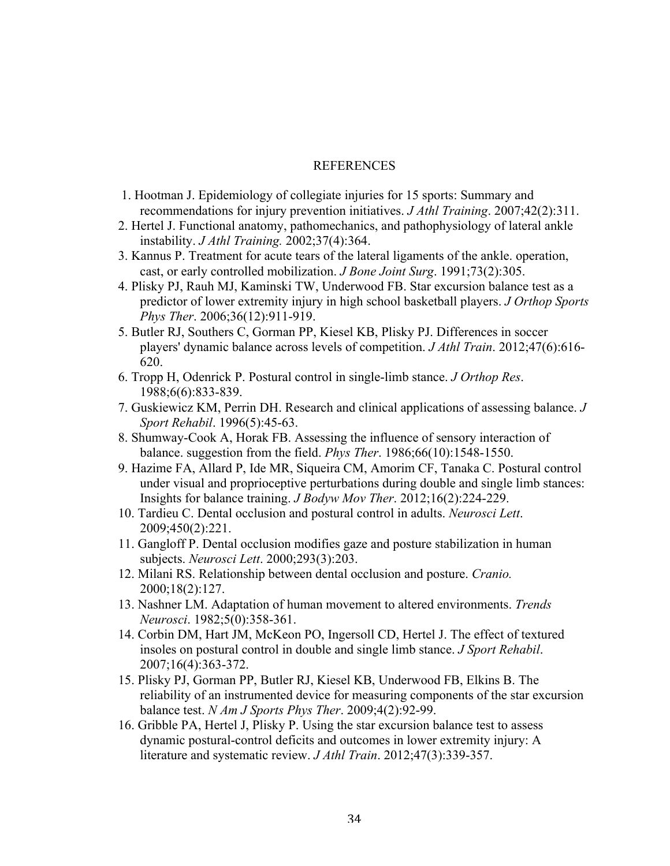#### REFERENCES

- 1. Hootman J. Epidemiology of collegiate injuries for 15 sports: Summary and recommendations for injury prevention initiatives. *J Athl Training*. 2007;42(2):311.
- 2. Hertel J. Functional anatomy, pathomechanics, and pathophysiology of lateral ankle instability. *J Athl Training.* 2002;37(4):364.
- 3. Kannus P. Treatment for acute tears of the lateral ligaments of the ankle. operation, cast, or early controlled mobilization. *J Bone Joint Surg*. 1991;73(2):305.
- 4. Plisky PJ, Rauh MJ, Kaminski TW, Underwood FB. Star excursion balance test as a predictor of lower extremity injury in high school basketball players. *J Orthop Sports Phys Ther*. 2006;36(12):911-919.
- 5. Butler RJ, Southers C, Gorman PP, Kiesel KB, Plisky PJ. Differences in soccer players' dynamic balance across levels of competition. *J Athl Train*. 2012;47(6):616- 620.
- 6. Tropp H, Odenrick P. Postural control in single-limb stance. *J Orthop Res*. 1988;6(6):833-839.
- 7. Guskiewicz KM, Perrin DH. Research and clinical applications of assessing balance. *J Sport Rehabil*. 1996(5):45-63.
- 8. Shumway-Cook A, Horak FB. Assessing the influence of sensory interaction of balance. suggestion from the field. *Phys Ther*. 1986;66(10):1548-1550.
- 9. Hazime FA, Allard P, Ide MR, Siqueira CM, Amorim CF, Tanaka C. Postural control under visual and proprioceptive perturbations during double and single limb stances: Insights for balance training. *J Bodyw Mov Ther*. 2012;16(2):224-229.
- 10. Tardieu C. Dental occlusion and postural control in adults. *Neurosci Lett*. 2009;450(2):221.
- 11. Gangloff P. Dental occlusion modifies gaze and posture stabilization in human subjects. *Neurosci Lett*. 2000;293(3):203.
- 12. Milani RS. Relationship between dental occlusion and posture. *Cranio.* 2000;18(2):127.
- 13. Nashner LM. Adaptation of human movement to altered environments. *Trends Neurosci*. 1982;5(0):358-361.
- 14. Corbin DM, Hart JM, McKeon PO, Ingersoll CD, Hertel J. The effect of textured insoles on postural control in double and single limb stance. *J Sport Rehabil*. 2007;16(4):363-372.
- 15. Plisky PJ, Gorman PP, Butler RJ, Kiesel KB, Underwood FB, Elkins B. The reliability of an instrumented device for measuring components of the star excursion balance test. *N Am J Sports Phys Ther*. 2009;4(2):92-99.
- 16. Gribble PA, Hertel J, Plisky P. Using the star excursion balance test to assess dynamic postural-control deficits and outcomes in lower extremity injury: A literature and systematic review. *J Athl Train*. 2012;47(3):339-357.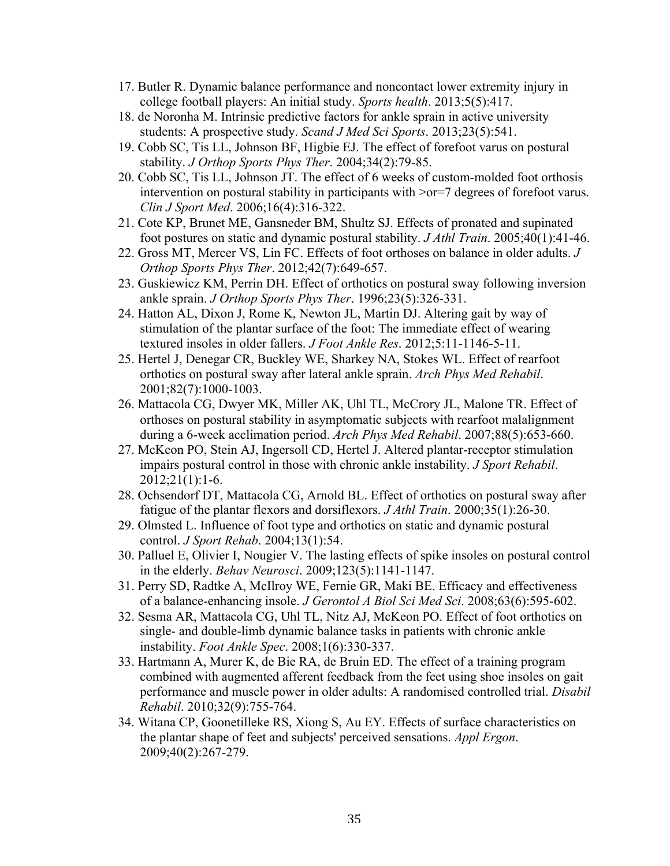- 17. Butler R. Dynamic balance performance and noncontact lower extremity injury in college football players: An initial study. *Sports health*. 2013;5(5):417.
- 18. de Noronha M. Intrinsic predictive factors for ankle sprain in active university students: A prospective study. *Scand J Med Sci Sports*. 2013;23(5):541.
- 19. Cobb SC, Tis LL, Johnson BF, Higbie EJ. The effect of forefoot varus on postural stability. *J Orthop Sports Phys Ther*. 2004;34(2):79-85.
- 20. Cobb SC, Tis LL, Johnson JT. The effect of 6 weeks of custom-molded foot orthosis intervention on postural stability in participants with  $\gamma$ or=7 degrees of forefoot varus. *Clin J Sport Med*. 2006;16(4):316-322.
- 21. Cote KP, Brunet ME, Gansneder BM, Shultz SJ. Effects of pronated and supinated foot postures on static and dynamic postural stability. *J Athl Train*. 2005;40(1):41-46.
- 22. Gross MT, Mercer VS, Lin FC. Effects of foot orthoses on balance in older adults. *J Orthop Sports Phys Ther*. 2012;42(7):649-657.
- 23. Guskiewicz KM, Perrin DH. Effect of orthotics on postural sway following inversion ankle sprain. *J Orthop Sports Phys Ther*. 1996;23(5):326-331.
- 24. Hatton AL, Dixon J, Rome K, Newton JL, Martin DJ. Altering gait by way of stimulation of the plantar surface of the foot: The immediate effect of wearing textured insoles in older fallers. *J Foot Ankle Res*. 2012;5:11-1146-5-11.
- 25. Hertel J, Denegar CR, Buckley WE, Sharkey NA, Stokes WL. Effect of rearfoot orthotics on postural sway after lateral ankle sprain. *Arch Phys Med Rehabil*. 2001;82(7):1000-1003.
- 26. Mattacola CG, Dwyer MK, Miller AK, Uhl TL, McCrory JL, Malone TR. Effect of orthoses on postural stability in asymptomatic subjects with rearfoot malalignment during a 6-week acclimation period. *Arch Phys Med Rehabil*. 2007;88(5):653-660.
- 27. McKeon PO, Stein AJ, Ingersoll CD, Hertel J. Altered plantar-receptor stimulation impairs postural control in those with chronic ankle instability. *J Sport Rehabil*. 2012;21(1):1-6.
- 28. Ochsendorf DT, Mattacola CG, Arnold BL. Effect of orthotics on postural sway after fatigue of the plantar flexors and dorsiflexors. *J Athl Train*. 2000;35(1):26-30.
- 29. Olmsted L. Influence of foot type and orthotics on static and dynamic postural control. *J Sport Rehab*. 2004;13(1):54.
- 30. Palluel E, Olivier I, Nougier V. The lasting effects of spike insoles on postural control in the elderly. *Behav Neurosci*. 2009;123(5):1141-1147.
- 31. Perry SD, Radtke A, McIlroy WE, Fernie GR, Maki BE. Efficacy and effectiveness of a balance-enhancing insole. *J Gerontol A Biol Sci Med Sci*. 2008;63(6):595-602.
- 32. Sesma AR, Mattacola CG, Uhl TL, Nitz AJ, McKeon PO. Effect of foot orthotics on single- and double-limb dynamic balance tasks in patients with chronic ankle instability. *Foot Ankle Spec*. 2008;1(6):330-337.
- 33. Hartmann A, Murer K, de Bie RA, de Bruin ED. The effect of a training program combined with augmented afferent feedback from the feet using shoe insoles on gait performance and muscle power in older adults: A randomised controlled trial. *Disabil Rehabil*. 2010;32(9):755-764.
- 34. Witana CP, Goonetilleke RS, Xiong S, Au EY. Effects of surface characteristics on the plantar shape of feet and subjects' perceived sensations. *Appl Ergon*. 2009;40(2):267-279.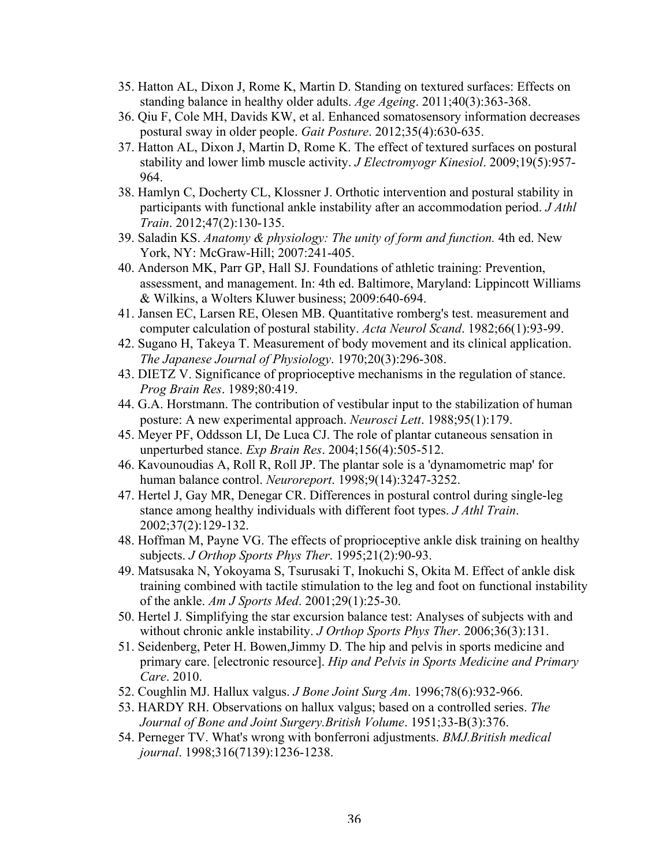- 35. Hatton AL, Dixon J, Rome K, Martin D. Standing on textured surfaces: Effects on standing balance in healthy older adults. *Age Ageing*. 2011;40(3):363-368.
- 36. Qiu F, Cole MH, Davids KW, et al. Enhanced somatosensory information decreases postural sway in older people. *Gait Posture*. 2012;35(4):630-635.
- 37. Hatton AL, Dixon J, Martin D, Rome K. The effect of textured surfaces on postural stability and lower limb muscle activity. *J Electromyogr Kinesiol*. 2009;19(5):957- 964.
- 38. Hamlyn C, Docherty CL, Klossner J. Orthotic intervention and postural stability in participants with functional ankle instability after an accommodation period. *J Athl Train*. 2012;47(2):130-135.
- 39. Saladin KS. *Anatomy & physiology: The unity of form and function.* 4th ed. New York, NY: McGraw-Hill; 2007:241-405.
- 40. Anderson MK, Parr GP, Hall SJ. Foundations of athletic training: Prevention, assessment, and management. In: 4th ed. Baltimore, Maryland: Lippincott Williams & Wilkins, a Wolters Kluwer business; 2009:640-694.
- 41. Jansen EC, Larsen RE, Olesen MB. Quantitative romberg's test. measurement and computer calculation of postural stability. *Acta Neurol Scand*. 1982;66(1):93-99.
- 42. Sugano H, Takeya T. Measurement of body movement and its clinical application. *The Japanese Journal of Physiology*. 1970;20(3):296-308.
- 43. DIETZ V. Significance of proprioceptive mechanisms in the regulation of stance. *Prog Brain Res*. 1989;80:419.
- 44. G.A. Horstmann. The contribution of vestibular input to the stabilization of human posture: A new experimental approach. *Neurosci Lett*. 1988;95(1):179.
- 45. Meyer PF, Oddsson LI, De Luca CJ. The role of plantar cutaneous sensation in unperturbed stance. *Exp Brain Res*. 2004;156(4):505-512.
- 46. Kavounoudias A, Roll R, Roll JP. The plantar sole is a 'dynamometric map' for human balance control. *Neuroreport*. 1998;9(14):3247-3252.
- 47. Hertel J, Gay MR, Denegar CR. Differences in postural control during single-leg stance among healthy individuals with different foot types. *J Athl Train*. 2002;37(2):129-132.
- 48. Hoffman M, Payne VG. The effects of proprioceptive ankle disk training on healthy subjects. *J Orthop Sports Phys Ther*. 1995;21(2):90-93.
- 49. Matsusaka N, Yokoyama S, Tsurusaki T, Inokuchi S, Okita M. Effect of ankle disk training combined with tactile stimulation to the leg and foot on functional instability of the ankle. *Am J Sports Med*. 2001;29(1):25-30.
- 50. Hertel J. Simplifying the star excursion balance test: Analyses of subjects with and without chronic ankle instability. *J Orthop Sports Phys Ther*. 2006;36(3):131.
- 51. Seidenberg, Peter H. Bowen,Jimmy D. The hip and pelvis in sports medicine and primary care. [electronic resource]. *Hip and Pelvis in Sports Medicine and Primary Care*. 2010.
- 52. Coughlin MJ. Hallux valgus. *J Bone Joint Surg Am*. 1996;78(6):932-966.
- 53. HARDY RH. Observations on hallux valgus; based on a controlled series. *The Journal of Bone and Joint Surgery.British Volume*. 1951;33-B(3):376.
- 54. Perneger TV. What's wrong with bonferroni adjustments. *BMJ.British medical journal*. 1998;316(7139):1236-1238.